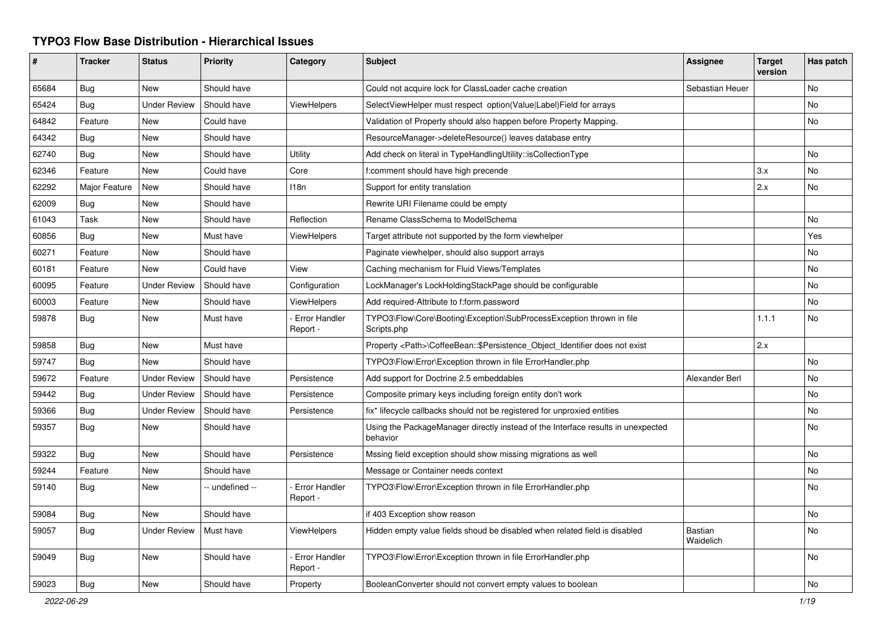## **TYPO3 Flow Base Distribution - Hierarchical Issues**

| #     | <b>Tracker</b> | <b>Status</b>       | <b>Priority</b> | Category                         | <b>Subject</b>                                                                               | <b>Assignee</b>             | <b>Target</b><br>version | Has patch |
|-------|----------------|---------------------|-----------------|----------------------------------|----------------------------------------------------------------------------------------------|-----------------------------|--------------------------|-----------|
| 65684 | Bug            | New                 | Should have     |                                  | Could not acquire lock for ClassLoader cache creation                                        | Sebastian Heuer             |                          | No        |
| 65424 | <b>Bug</b>     | <b>Under Review</b> | Should have     | ViewHelpers                      | SelectViewHelper must respect option(Value Label)Field for arrays                            |                             |                          | No        |
| 64842 | Feature        | New                 | Could have      |                                  | Validation of Property should also happen before Property Mapping.                           |                             |                          | No.       |
| 64342 | Bug            | <b>New</b>          | Should have     |                                  | ResourceManager->deleteResource() leaves database entry                                      |                             |                          |           |
| 62740 | <b>Bug</b>     | New                 | Should have     | Utility                          | Add check on literal in TypeHandlingUtility::isCollectionType                                |                             |                          | No        |
| 62346 | Feature        | New                 | Could have      | Core                             | f:comment should have high precende                                                          |                             | 3.x                      | No        |
| 62292 | Major Feature  | New                 | Should have     | 118n                             | Support for entity translation                                                               |                             | 2.x                      | No        |
| 62009 | <b>Bug</b>     | New                 | Should have     |                                  | Rewrite URI Filename could be empty                                                          |                             |                          |           |
| 61043 | Task           | New                 | Should have     | Reflection                       | Rename ClassSchema to ModelSchema                                                            |                             |                          | No.       |
| 60856 | Bug            | New                 | Must have       | ViewHelpers                      | Target attribute not supported by the form viewhelper                                        |                             |                          | Yes       |
| 60271 | Feature        | <b>New</b>          | Should have     |                                  | Paginate viewhelper, should also support arrays                                              |                             |                          | No        |
| 60181 | Feature        | New                 | Could have      | View                             | Caching mechanism for Fluid Views/Templates                                                  |                             |                          | No        |
| 60095 | Feature        | <b>Under Review</b> | Should have     | Configuration                    | LockManager's LockHoldingStackPage should be configurable                                    |                             |                          | No        |
| 60003 | Feature        | New                 | Should have     | ViewHelpers                      | Add required-Attribute to f:form.password                                                    |                             |                          | No        |
| 59878 | Bug            | New                 | Must have       | Error Handler<br>Report -        | TYPO3\Flow\Core\Booting\Exception\SubProcessException thrown in file<br>Scripts.php          |                             | 1.1.1                    | <b>No</b> |
| 59858 | Bug            | New                 | Must have       |                                  | Property <path>\CoffeeBean::\$Persistence_Object_Identifier does not exist</path>            |                             | 2.x                      |           |
| 59747 | Bug            | New                 | Should have     |                                  | TYPO3\Flow\Error\Exception thrown in file ErrorHandler.php                                   |                             |                          | No        |
| 59672 | Feature        | <b>Under Review</b> | Should have     | Persistence                      | Add support for Doctrine 2.5 embeddables                                                     | Alexander Berl              |                          | No        |
| 59442 | Bug            | <b>Under Review</b> | Should have     | Persistence                      | Composite primary keys including foreign entity don't work                                   |                             |                          | No        |
| 59366 | <b>Bug</b>     | <b>Under Review</b> | Should have     | Persistence                      | fix* lifecycle callbacks should not be registered for unproxied entities                     |                             |                          | No        |
| 59357 | <b>Bug</b>     | New                 | Should have     |                                  | Using the PackageManager directly instead of the Interface results in unexpected<br>behavior |                             |                          | No        |
| 59322 | Bug            | New                 | Should have     | Persistence                      | Mssing field exception should show missing migrations as well                                |                             |                          | No        |
| 59244 | Feature        | New                 | Should have     |                                  | Message or Container needs context                                                           |                             |                          | No.       |
| 59140 | <b>Bug</b>     | New                 | - undefined --  | <b>Error Handler</b><br>Report - | TYPO3\Flow\Error\Exception thrown in file ErrorHandler.php                                   |                             |                          | No.       |
| 59084 | Bug            | New                 | Should have     |                                  | if 403 Exception show reason                                                                 |                             |                          | No.       |
| 59057 | Bug            | <b>Under Review</b> | Must have       | ViewHelpers                      | Hidden empty value fields shoud be disabled when related field is disabled                   | <b>Bastian</b><br>Waidelich |                          | No.       |
| 59049 | <b>Bug</b>     | <b>New</b>          | Should have     | <b>Error Handler</b><br>Report - | TYPO3\Flow\Error\Exception thrown in file ErrorHandler.php                                   |                             |                          | No        |
| 59023 | Bug            | New                 | Should have     | Property                         | BooleanConverter should not convert empty values to boolean                                  |                             |                          | No        |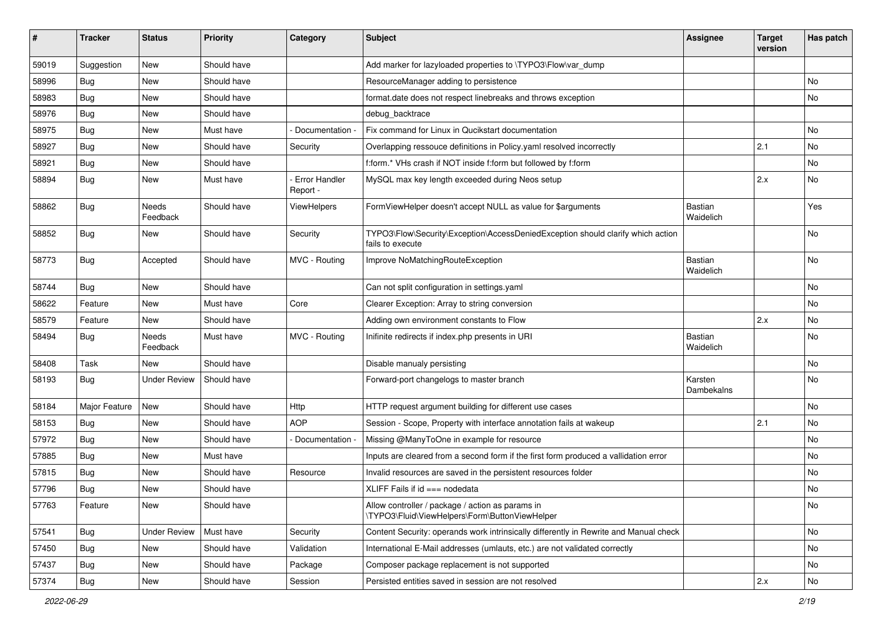| ∦     | <b>Tracker</b> | <b>Status</b>       | <b>Priority</b> | Category                  | <b>Subject</b>                                                                                      | <b>Assignee</b>       | Target<br>version | Has patch |
|-------|----------------|---------------------|-----------------|---------------------------|-----------------------------------------------------------------------------------------------------|-----------------------|-------------------|-----------|
| 59019 | Suggestion     | New                 | Should have     |                           | Add marker for lazyloaded properties to \TYPO3\Flow\var_dump                                        |                       |                   |           |
| 58996 | <b>Bug</b>     | New                 | Should have     |                           | ResourceManager adding to persistence                                                               |                       |                   | <b>No</b> |
| 58983 | <b>Bug</b>     | New                 | Should have     |                           | format.date does not respect linebreaks and throws exception                                        |                       |                   | No        |
| 58976 | Bug            | New                 | Should have     |                           | debug_backtrace                                                                                     |                       |                   |           |
| 58975 | <b>Bug</b>     | New                 | Must have       | Documentation -           | Fix command for Linux in Qucikstart documentation                                                   |                       |                   | <b>No</b> |
| 58927 | Bug            | New                 | Should have     | Security                  | Overlapping ressouce definitions in Policy.yaml resolved incorrectly                                |                       | 2.1               | <b>No</b> |
| 58921 | Bug            | New                 | Should have     |                           | f:form.* VHs crash if NOT inside f:form but followed by f:form                                      |                       |                   | No        |
| 58894 | <b>Bug</b>     | New                 | Must have       | Error Handler<br>Report - | MySQL max key length exceeded during Neos setup                                                     |                       | 2.x               | <b>No</b> |
| 58862 | Bug            | Needs<br>Feedback   | Should have     | ViewHelpers               | FormViewHelper doesn't accept NULL as value for \$arguments                                         | Bastian<br>Waidelich  |                   | Yes       |
| 58852 | Bug            | New                 | Should have     | Security                  | TYPO3\Flow\Security\Exception\AccessDeniedException should clarify which action<br>fails to execute |                       |                   | <b>No</b> |
| 58773 | <b>Bug</b>     | Accepted            | Should have     | MVC - Routing             | Improve NoMatchingRouteException                                                                    | Bastian<br>Waidelich  |                   | <b>No</b> |
| 58744 | Bug            | New                 | Should have     |                           | Can not split configuration in settings.yaml                                                        |                       |                   | No        |
| 58622 | Feature        | New                 | Must have       | Core                      | Clearer Exception: Array to string conversion                                                       |                       |                   | <b>No</b> |
| 58579 | Feature        | New                 | Should have     |                           | Adding own environment constants to Flow                                                            |                       | 2.x               | No        |
| 58494 | <b>Bug</b>     | Needs<br>Feedback   | Must have       | MVC - Routing             | Inifinite redirects if index.php presents in URI                                                    | Bastian<br>Waidelich  |                   | <b>No</b> |
| 58408 | Task           | New                 | Should have     |                           | Disable manualy persisting                                                                          |                       |                   | <b>No</b> |
| 58193 | <b>Bug</b>     | <b>Under Review</b> | Should have     |                           | Forward-port changelogs to master branch                                                            | Karsten<br>Dambekalns |                   | <b>No</b> |
| 58184 | Major Feature  | New                 | Should have     | Http                      | HTTP request argument building for different use cases                                              |                       |                   | <b>No</b> |
| 58153 | Bug            | New                 | Should have     | <b>AOP</b>                | Session - Scope, Property with interface annotation fails at wakeup                                 |                       | 2.1               | <b>No</b> |
| 57972 | Bug            | New                 | Should have     | Documentation             | Missing @ManyToOne in example for resource                                                          |                       |                   | No        |
| 57885 | <b>Bug</b>     | New                 | Must have       |                           | Inputs are cleared from a second form if the first form produced a vallidation error                |                       |                   | <b>No</b> |
| 57815 | Bug            | New                 | Should have     | Resource                  | Invalid resources are saved in the persistent resources folder                                      |                       |                   | <b>No</b> |
| 57796 | <b>Bug</b>     | New                 | Should have     |                           | XLIFF Fails if $id ==$ nodedata                                                                     |                       |                   | <b>No</b> |
| 57763 | Feature        | New                 | Should have     |                           | Allow controller / package / action as params in<br>\TYPO3\Fluid\ViewHelpers\Form\ButtonViewHelper  |                       |                   | No        |
| 57541 | Bug            | <b>Under Review</b> | Must have       | Security                  | Content Security: operands work intrinsically differently in Rewrite and Manual check               |                       |                   | No        |
| 57450 | <b>Bug</b>     | New                 | Should have     | Validation                | International E-Mail addresses (umlauts, etc.) are not validated correctly                          |                       |                   | No        |
| 57437 | Bug            | New                 | Should have     | Package                   | Composer package replacement is not supported                                                       |                       |                   | No        |
| 57374 | <b>Bug</b>     | New                 | Should have     | Session                   | Persisted entities saved in session are not resolved                                                |                       | 2.x               | No        |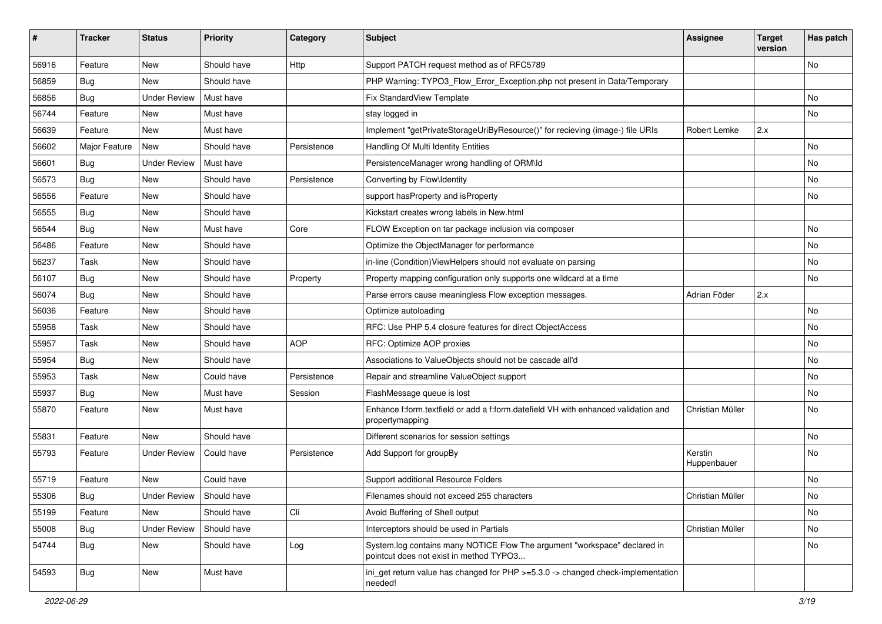| #     | <b>Tracker</b> | <b>Status</b>       | <b>Priority</b> | Category    | <b>Subject</b>                                                                                                       | <b>Assignee</b>        | <b>Target</b><br>version | Has patch |
|-------|----------------|---------------------|-----------------|-------------|----------------------------------------------------------------------------------------------------------------------|------------------------|--------------------------|-----------|
| 56916 | Feature        | New                 | Should have     | Http        | Support PATCH request method as of RFC5789                                                                           |                        |                          | No        |
| 56859 | <b>Bug</b>     | New                 | Should have     |             | PHP Warning: TYPO3_Flow_Error_Exception.php not present in Data/Temporary                                            |                        |                          |           |
| 56856 | <b>Bug</b>     | <b>Under Review</b> | Must have       |             | Fix StandardView Template                                                                                            |                        |                          | No        |
| 56744 | Feature        | New                 | Must have       |             | stay logged in                                                                                                       |                        |                          | No        |
| 56639 | Feature        | New                 | Must have       |             | Implement "getPrivateStorageUriByResource()" for recieving (image-) file URIs                                        | Robert Lemke           | 2.x                      |           |
| 56602 | Major Feature  | New                 | Should have     | Persistence | Handling Of Multi Identity Entities                                                                                  |                        |                          | No        |
| 56601 | Bug            | <b>Under Review</b> | Must have       |             | PersistenceManager wrong handling of ORM\ld                                                                          |                        |                          | No        |
| 56573 | <b>Bug</b>     | New                 | Should have     | Persistence | Converting by Flow\Identity                                                                                          |                        |                          | No        |
| 56556 | Feature        | New                 | Should have     |             | support hasProperty and isProperty                                                                                   |                        |                          | No        |
| 56555 | <b>Bug</b>     | New                 | Should have     |             | Kickstart creates wrong labels in New.html                                                                           |                        |                          |           |
| 56544 | <b>Bug</b>     | New                 | Must have       | Core        | FLOW Exception on tar package inclusion via composer                                                                 |                        |                          | No        |
| 56486 | Feature        | New                 | Should have     |             | Optimize the ObjectManager for performance                                                                           |                        |                          | No        |
| 56237 | Task           | New                 | Should have     |             | in-line (Condition) ViewHelpers should not evaluate on parsing                                                       |                        |                          | No        |
| 56107 | <b>Bug</b>     | New                 | Should have     | Property    | Property mapping configuration only supports one wildcard at a time                                                  |                        |                          | No        |
| 56074 | <b>Bug</b>     | New                 | Should have     |             | Parse errors cause meaningless Flow exception messages.                                                              | Adrian Föder           | 2.x                      |           |
| 56036 | Feature        | New                 | Should have     |             | Optimize autoloading                                                                                                 |                        |                          | No        |
| 55958 | Task           | New                 | Should have     |             | RFC: Use PHP 5.4 closure features for direct ObjectAccess                                                            |                        |                          | No        |
| 55957 | Task           | New                 | Should have     | <b>AOP</b>  | RFC: Optimize AOP proxies                                                                                            |                        |                          | No        |
| 55954 | <b>Bug</b>     | New                 | Should have     |             | Associations to ValueObjects should not be cascade all'd                                                             |                        |                          | No        |
| 55953 | Task           | New                 | Could have      | Persistence | Repair and streamline ValueObject support                                                                            |                        |                          | No        |
| 55937 | Bug            | New                 | Must have       | Session     | FlashMessage queue is lost                                                                                           |                        |                          | No        |
| 55870 | Feature        | New                 | Must have       |             | Enhance f:form.textfield or add a f:form.datefield VH with enhanced validation and<br>propertymapping                | Christian Müller       |                          | No        |
| 55831 | Feature        | New                 | Should have     |             | Different scenarios for session settings                                                                             |                        |                          | No        |
| 55793 | Feature        | <b>Under Review</b> | Could have      | Persistence | Add Support for groupBy                                                                                              | Kerstin<br>Huppenbauer |                          | No        |
| 55719 | Feature        | New                 | Could have      |             | Support additional Resource Folders                                                                                  |                        |                          | No        |
| 55306 | Bug            | Under Review        | Should have     |             | Filenames should not exceed 255 characters                                                                           | Christian Müller       |                          | No        |
| 55199 | Feature        | New                 | Should have     | Cli         | Avoid Buffering of Shell output                                                                                      |                        |                          | No        |
| 55008 | Bug            | <b>Under Review</b> | Should have     |             | Interceptors should be used in Partials                                                                              | Christian Müller       |                          | No        |
| 54744 | <b>Bug</b>     | New                 | Should have     | Log         | System.log contains many NOTICE Flow The argument "workspace" declared in<br>pointcut does not exist in method TYPO3 |                        |                          | No        |
| 54593 | Bug            | New                 | Must have       |             | ini_get return value has changed for PHP >=5.3.0 -> changed check-implementation<br>needed!                          |                        |                          |           |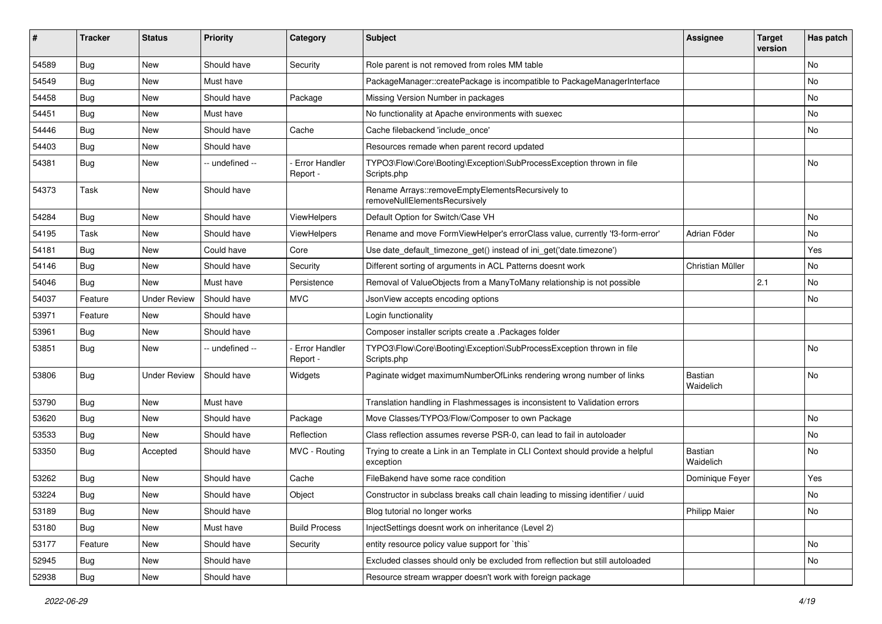| #     | <b>Tracker</b> | <b>Status</b>       | <b>Priority</b> | Category                         | Subject                                                                                     | <b>Assignee</b>      | <b>Target</b><br>version | Has patch |
|-------|----------------|---------------------|-----------------|----------------------------------|---------------------------------------------------------------------------------------------|----------------------|--------------------------|-----------|
| 54589 | Bug            | <b>New</b>          | Should have     | Security                         | Role parent is not removed from roles MM table                                              |                      |                          | No        |
| 54549 | Bug            | New                 | Must have       |                                  | PackageManager::createPackage is incompatible to PackageManagerInterface                    |                      |                          | No        |
| 54458 | Bug            | New                 | Should have     | Package                          | Missing Version Number in packages                                                          |                      |                          | No        |
| 54451 | Bug            | New                 | Must have       |                                  | No functionality at Apache environments with suexec                                         |                      |                          | No        |
| 54446 | Bug            | New                 | Should have     | Cache                            | Cache filebackend 'include once'                                                            |                      |                          | No        |
| 54403 | Bug            | New                 | Should have     |                                  | Resources remade when parent record updated                                                 |                      |                          |           |
| 54381 | Bug            | New                 | -- undefined -- | <b>Error Handler</b><br>Report - | TYPO3\Flow\Core\Booting\Exception\SubProcessException thrown in file<br>Scripts.php         |                      |                          | No        |
| 54373 | Task           | New                 | Should have     |                                  | Rename Arrays::removeEmptyElementsRecursively to<br>removeNullElementsRecursively           |                      |                          |           |
| 54284 | Bug            | New                 | Should have     | ViewHelpers                      | Default Option for Switch/Case VH                                                           |                      |                          | No        |
| 54195 | Task           | <b>New</b>          | Should have     | ViewHelpers                      | Rename and move FormViewHelper's errorClass value, currently 'f3-form-error'                | Adrian Föder         |                          | No        |
| 54181 | Bug            | New                 | Could have      | Core                             | Use date_default_timezone_get() instead of ini_get('date.timezone')                         |                      |                          | Yes       |
| 54146 | Bug            | New                 | Should have     | Security                         | Different sorting of arguments in ACL Patterns doesnt work                                  | Christian Müller     |                          | No.       |
| 54046 | Bug            | New                 | Must have       | Persistence                      | Removal of ValueObjects from a ManyToMany relationship is not possible                      |                      | 2.1                      | No        |
| 54037 | Feature        | <b>Under Review</b> | Should have     | <b>MVC</b>                       | JsonView accepts encoding options                                                           |                      |                          | No.       |
| 53971 | Feature        | New                 | Should have     |                                  | Login functionality                                                                         |                      |                          |           |
| 53961 | Bug            | New                 | Should have     |                                  | Composer installer scripts create a .Packages folder                                        |                      |                          |           |
| 53851 | Bug            | New                 | -- undefined -- | <b>Error Handler</b><br>Report - | TYPO3\Flow\Core\Booting\Exception\SubProcessException thrown in file<br>Scripts.php         |                      |                          | No        |
| 53806 | Bug            | <b>Under Review</b> | Should have     | Widgets                          | Paginate widget maximumNumberOfLinks rendering wrong number of links                        | Bastian<br>Waidelich |                          | No        |
| 53790 | Bug            | New                 | Must have       |                                  | Translation handling in Flashmessages is inconsistent to Validation errors                  |                      |                          |           |
| 53620 | Bug            | New                 | Should have     | Package                          | Move Classes/TYPO3/Flow/Composer to own Package                                             |                      |                          | No        |
| 53533 | Bug            | New                 | Should have     | Reflection                       | Class reflection assumes reverse PSR-0, can lead to fail in autoloader                      |                      |                          | No        |
| 53350 | Bug            | Accepted            | Should have     | MVC - Routing                    | Trying to create a Link in an Template in CLI Context should provide a helpful<br>exception | Bastian<br>Waidelich |                          | No        |
| 53262 | Bug            | New                 | Should have     | Cache                            | FileBakend have some race condition                                                         | Dominique Feyer      |                          | Yes       |
| 53224 | Bug            | New                 | Should have     | Object                           | Constructor in subclass breaks call chain leading to missing identifier / uuid              |                      |                          | No        |
| 53189 | Bug            | New                 | Should have     |                                  | Blog tutorial no longer works                                                               | <b>Philipp Maier</b> |                          | No        |
| 53180 | Bug            | New                 | Must have       | <b>Build Process</b>             | InjectSettings doesnt work on inheritance (Level 2)                                         |                      |                          |           |
| 53177 | Feature        | New                 | Should have     | Security                         | entity resource policy value support for `this`                                             |                      |                          | No        |
| 52945 | <b>Bug</b>     | New                 | Should have     |                                  | Excluded classes should only be excluded from reflection but still autoloaded               |                      |                          | No        |
| 52938 | Bug            | New                 | Should have     |                                  | Resource stream wrapper doesn't work with foreign package                                   |                      |                          |           |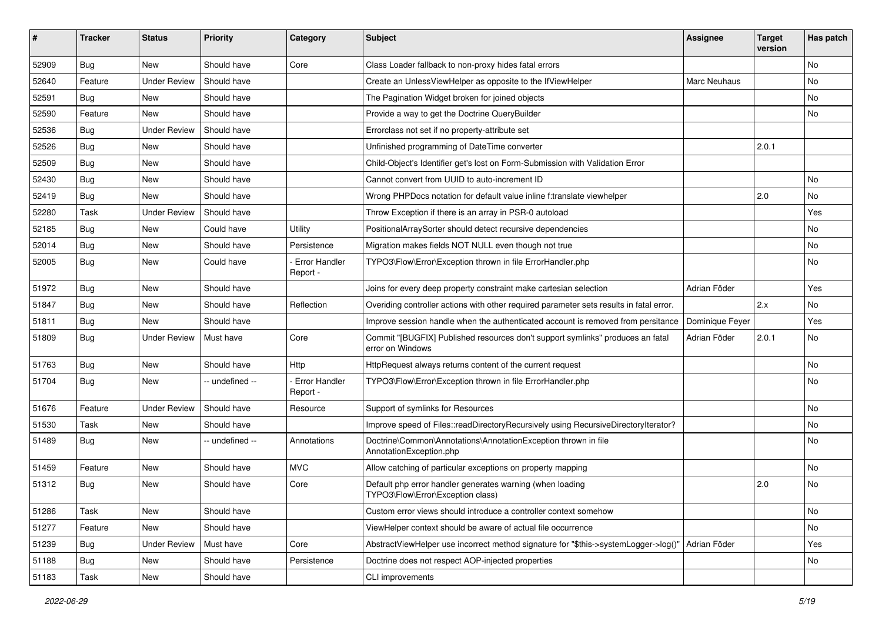| ∦     | <b>Tracker</b> | <b>Status</b>       | Priority        | Category                         | <b>Subject</b>                                                                                     | <b>Assignee</b> | <b>Target</b><br>version | Has patch |
|-------|----------------|---------------------|-----------------|----------------------------------|----------------------------------------------------------------------------------------------------|-----------------|--------------------------|-----------|
| 52909 | Bug            | New                 | Should have     | Core                             | Class Loader fallback to non-proxy hides fatal errors                                              |                 |                          | No        |
| 52640 | Feature        | <b>Under Review</b> | Should have     |                                  | Create an UnlessViewHelper as opposite to the IfViewHelper                                         | Marc Neuhaus    |                          | No        |
| 52591 | Bug            | New                 | Should have     |                                  | The Pagination Widget broken for joined objects                                                    |                 |                          | No        |
| 52590 | Feature        | New                 | Should have     |                                  | Provide a way to get the Doctrine QueryBuilder                                                     |                 |                          | No        |
| 52536 | Bug            | <b>Under Review</b> | Should have     |                                  | Errorclass not set if no property-attribute set                                                    |                 |                          |           |
| 52526 | Bug            | New                 | Should have     |                                  | Unfinished programming of DateTime converter                                                       |                 | 2.0.1                    |           |
| 52509 | <b>Bug</b>     | New                 | Should have     |                                  | Child-Object's Identifier get's lost on Form-Submission with Validation Error                      |                 |                          |           |
| 52430 | <b>Bug</b>     | New                 | Should have     |                                  | Cannot convert from UUID to auto-increment ID                                                      |                 |                          | No        |
| 52419 | Bug            | New                 | Should have     |                                  | Wrong PHPDocs notation for default value inline f:translate viewhelper                             |                 | 2.0                      | No        |
| 52280 | Task           | <b>Under Review</b> | Should have     |                                  | Throw Exception if there is an array in PSR-0 autoload                                             |                 |                          | Yes       |
| 52185 | Bug            | New                 | Could have      | Utility                          | PositionalArraySorter should detect recursive dependencies                                         |                 |                          | No        |
| 52014 | <b>Bug</b>     | New                 | Should have     | Persistence                      | Migration makes fields NOT NULL even though not true                                               |                 |                          | No        |
| 52005 | <b>Bug</b>     | New                 | Could have      | Error Handler<br>Report -        | TYPO3\Flow\Error\Exception thrown in file ErrorHandler.php                                         |                 |                          | No        |
| 51972 | Bug            | New                 | Should have     |                                  | Joins for every deep property constraint make cartesian selection                                  | Adrian Föder    |                          | Yes       |
| 51847 | <b>Bug</b>     | New                 | Should have     | Reflection                       | Overiding controller actions with other required parameter sets results in fatal error.            |                 | 2.x                      | No        |
| 51811 | <b>Bug</b>     | New                 | Should have     |                                  | Improve session handle when the authenticated account is removed from persitance                   | Dominique Feyer |                          | Yes       |
| 51809 | <b>Bug</b>     | <b>Under Review</b> | Must have       | Core                             | Commit "[BUGFIX] Published resources don't support symlinks" produces an fatal<br>error on Windows | Adrian Föder    | 2.0.1                    | No        |
| 51763 | Bug            | New                 | Should have     | Http                             | HttpRequest always returns content of the current request                                          |                 |                          | No        |
| 51704 | <b>Bug</b>     | New                 | -- undefined -- | <b>Error Handler</b><br>Report - | TYPO3\Flow\Error\Exception thrown in file ErrorHandler.php                                         |                 |                          | No        |
| 51676 | Feature        | <b>Under Review</b> | Should have     | Resource                         | Support of symlinks for Resources                                                                  |                 |                          | No        |
| 51530 | Task           | New                 | Should have     |                                  | Improve speed of Files::readDirectoryRecursively using RecursiveDirectoryIterator?                 |                 |                          | No        |
| 51489 | Bug            | New                 | -- undefined -- | Annotations                      | Doctrine\Common\Annotations\AnnotationException thrown in file<br>AnnotationException.php          |                 |                          | No        |
| 51459 | Feature        | New                 | Should have     | <b>MVC</b>                       | Allow catching of particular exceptions on property mapping                                        |                 |                          | No        |
| 51312 | Bug            | New                 | Should have     | Core                             | Default php error handler generates warning (when loading<br>TYPO3\Flow\Error\Exception class)     |                 | 2.0                      | No        |
| 51286 | Task           | New                 | Should have     |                                  | Custom error views should introduce a controller context somehow                                   |                 |                          | No        |
| 51277 | Feature        | New                 | Should have     |                                  | ViewHelper context should be aware of actual file occurrence                                       |                 |                          | No        |
| 51239 | <b>Bug</b>     | <b>Under Review</b> | Must have       | Core                             | AbstractViewHelper use incorrect method signature for "\$this->systemLogger->log()"                | Adrian Föder    |                          | Yes       |
| 51188 | <b>Bug</b>     | New                 | Should have     | Persistence                      | Doctrine does not respect AOP-injected properties                                                  |                 |                          | No        |
| 51183 | Task           | New                 | Should have     |                                  | CLI improvements                                                                                   |                 |                          |           |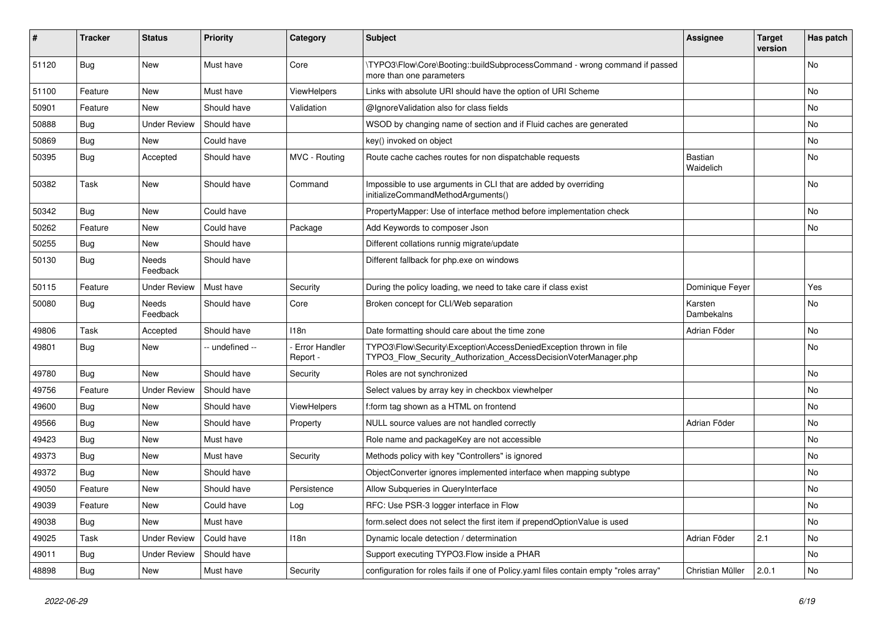| #     | <b>Tracker</b> | <b>Status</b>       | <b>Priority</b> | Category                         | Subject                                                                                                                                | <b>Assignee</b>       | <b>Target</b><br>version | Has patch |
|-------|----------------|---------------------|-----------------|----------------------------------|----------------------------------------------------------------------------------------------------------------------------------------|-----------------------|--------------------------|-----------|
| 51120 | Bug            | New                 | Must have       | Core                             | \TYPO3\Flow\Core\Booting::buildSubprocessCommand - wrong command if passed<br>more than one parameters                                 |                       |                          | No        |
| 51100 | Feature        | New                 | Must have       | ViewHelpers                      | Links with absolute URI should have the option of URI Scheme                                                                           |                       |                          | No        |
| 50901 | Feature        | New                 | Should have     | Validation                       | @IgnoreValidation also for class fields                                                                                                |                       |                          | <b>No</b> |
| 50888 | Bug            | <b>Under Review</b> | Should have     |                                  | WSOD by changing name of section and if Fluid caches are generated                                                                     |                       |                          | No        |
| 50869 | Bug            | New                 | Could have      |                                  | key() invoked on object                                                                                                                |                       |                          | <b>No</b> |
| 50395 | <b>Bug</b>     | Accepted            | Should have     | MVC - Routing                    | Route cache caches routes for non dispatchable requests                                                                                | Bastian<br>Waidelich  |                          | No        |
| 50382 | Task           | New                 | Should have     | Command                          | Impossible to use arguments in CLI that are added by overriding<br>initializeCommandMethodArguments()                                  |                       |                          | <b>No</b> |
| 50342 | Bug            | New                 | Could have      |                                  | PropertyMapper: Use of interface method before implementation check                                                                    |                       |                          | No        |
| 50262 | Feature        | New                 | Could have      | Package                          | Add Keywords to composer Json                                                                                                          |                       |                          | No        |
| 50255 | <b>Bug</b>     | New                 | Should have     |                                  | Different collations runnig migrate/update                                                                                             |                       |                          |           |
| 50130 | <b>Bug</b>     | Needs<br>Feedback   | Should have     |                                  | Different fallback for php.exe on windows                                                                                              |                       |                          |           |
| 50115 | Feature        | <b>Under Review</b> | Must have       | Security                         | During the policy loading, we need to take care if class exist                                                                         | Dominique Feyer       |                          | Yes       |
| 50080 | <b>Bug</b>     | Needs<br>Feedback   | Should have     | Core                             | Broken concept for CLI/Web separation                                                                                                  | Karsten<br>Dambekalns |                          | No        |
| 49806 | Task           | Accepted            | Should have     | 118n                             | Date formatting should care about the time zone                                                                                        | Adrian Föder          |                          | No        |
| 49801 | Bug            | New                 | - undefined --  | <b>Error Handler</b><br>Report - | TYPO3\Flow\Security\Exception\AccessDeniedException thrown in file<br>TYPO3_Flow_Security_Authorization_AccessDecisionVoterManager.php |                       |                          | No        |
| 49780 | Bug            | New                 | Should have     | Security                         | Roles are not synchronized                                                                                                             |                       |                          | No        |
| 49756 | Feature        | <b>Under Review</b> | Should have     |                                  | Select values by array key in checkbox viewhelper                                                                                      |                       |                          | No        |
| 49600 | <b>Bug</b>     | New                 | Should have     | ViewHelpers                      | f:form tag shown as a HTML on frontend                                                                                                 |                       |                          | No        |
| 49566 | Bug            | New                 | Should have     | Property                         | NULL source values are not handled correctly                                                                                           | Adrian Föder          |                          | <b>No</b> |
| 49423 | <b>Bug</b>     | New                 | Must have       |                                  | Role name and packageKey are not accessible                                                                                            |                       |                          | No        |
| 49373 | <b>Bug</b>     | New                 | Must have       | Security                         | Methods policy with key "Controllers" is ignored                                                                                       |                       |                          | No        |
| 49372 | <b>Bug</b>     | New                 | Should have     |                                  | ObjectConverter ignores implemented interface when mapping subtype                                                                     |                       |                          | No        |
| 49050 | Feature        | New                 | Should have     | Persistence                      | Allow Subqueries in QueryInterface                                                                                                     |                       |                          | No        |
| 49039 | Feature        | New                 | Could have      | Log                              | RFC: Use PSR-3 logger interface in Flow                                                                                                |                       |                          | No        |
| 49038 | <b>Bug</b>     | New                 | Must have       |                                  | form.select does not select the first item if prependOptionValue is used                                                               |                       |                          | No        |
| 49025 | Task           | <b>Under Review</b> | Could have      | 118n                             | Dynamic locale detection / determination                                                                                               | Adrian Föder          | 2.1                      | No        |
| 49011 | Bug            | <b>Under Review</b> | Should have     |                                  | Support executing TYPO3.Flow inside a PHAR                                                                                             |                       |                          | No        |
| 48898 | <b>Bug</b>     | New                 | Must have       | Security                         | configuration for roles fails if one of Policy yaml files contain empty "roles array"                                                  | Christian Müller      | 2.0.1                    | No        |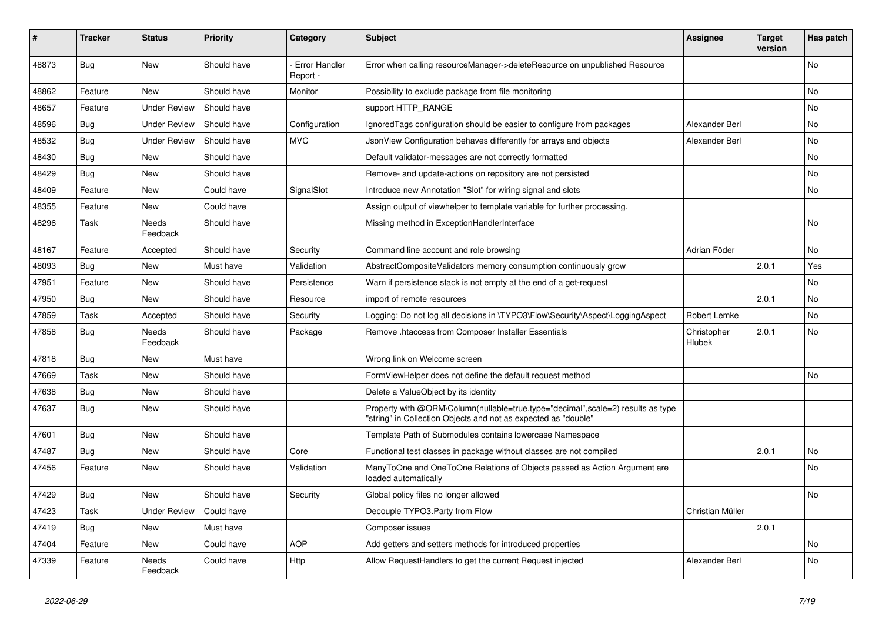| #     | <b>Tracker</b> | <b>Status</b>       | <b>Priority</b> | Category                         | Subject                                                                                                                                           | <b>Assignee</b>       | <b>Target</b><br>version | Has patch |
|-------|----------------|---------------------|-----------------|----------------------------------|---------------------------------------------------------------------------------------------------------------------------------------------------|-----------------------|--------------------------|-----------|
| 48873 | Bug            | New                 | Should have     | <b>Error Handler</b><br>Report - | Error when calling resourceManager->deleteResource on unpublished Resource                                                                        |                       |                          | No        |
| 48862 | Feature        | New                 | Should have     | Monitor                          | Possibility to exclude package from file monitoring                                                                                               |                       |                          | No        |
| 48657 | Feature        | <b>Under Review</b> | Should have     |                                  | support HTTP_RANGE                                                                                                                                |                       |                          | No        |
| 48596 | <b>Bug</b>     | <b>Under Review</b> | Should have     | Configuration                    | Ignored Tags configuration should be easier to configure from packages                                                                            | Alexander Berl        |                          | No        |
| 48532 | Bug            | <b>Under Review</b> | Should have     | <b>MVC</b>                       | JsonView Configuration behaves differently for arrays and objects                                                                                 | Alexander Berl        |                          | No        |
| 48430 | <b>Bug</b>     | New                 | Should have     |                                  | Default validator-messages are not correctly formatted                                                                                            |                       |                          | No        |
| 48429 | <b>Bug</b>     | New                 | Should have     |                                  | Remove- and update-actions on repository are not persisted                                                                                        |                       |                          | No.       |
| 48409 | Feature        | New                 | Could have      | SignalSlot                       | Introduce new Annotation "Slot" for wiring signal and slots                                                                                       |                       |                          | No        |
| 48355 | Feature        | New                 | Could have      |                                  | Assign output of viewhelper to template variable for further processing.                                                                          |                       |                          |           |
| 48296 | Task           | Needs<br>Feedback   | Should have     |                                  | Missing method in ExceptionHandlerInterface                                                                                                       |                       |                          | No        |
| 48167 | Feature        | Accepted            | Should have     | Security                         | Command line account and role browsing                                                                                                            | Adrian Föder          |                          | No        |
| 48093 | <b>Bug</b>     | New                 | Must have       | Validation                       | AbstractCompositeValidators memory consumption continuously grow                                                                                  |                       | 2.0.1                    | Yes       |
| 47951 | Feature        | New                 | Should have     | Persistence                      | Warn if persistence stack is not empty at the end of a get-request                                                                                |                       |                          | No        |
| 47950 | Bug            | New                 | Should have     | Resource                         | import of remote resources                                                                                                                        |                       | 2.0.1                    | No        |
| 47859 | Task           | Accepted            | Should have     | Security                         | Logging: Do not log all decisions in \TYPO3\Flow\Security\Aspect\LoggingAspect                                                                    | Robert Lemke          |                          | No        |
| 47858 | <b>Bug</b>     | Needs<br>Feedback   | Should have     | Package                          | Remove .htaccess from Composer Installer Essentials                                                                                               | Christopher<br>Hlubek | 2.0.1                    | No        |
| 47818 | Bug            | New                 | Must have       |                                  | Wrong link on Welcome screen                                                                                                                      |                       |                          |           |
| 47669 | Task           | New                 | Should have     |                                  | FormViewHelper does not define the default request method                                                                                         |                       |                          | No        |
| 47638 | Bug            | New                 | Should have     |                                  | Delete a ValueObject by its identity                                                                                                              |                       |                          |           |
| 47637 | <b>Bug</b>     | New                 | Should have     |                                  | Property with @ORM\Column(nullable=true,type="decimal",scale=2) results as type<br>"string" in Collection Objects and not as expected as "double" |                       |                          |           |
| 47601 | Bug            | New                 | Should have     |                                  | Template Path of Submodules contains lowercase Namespace                                                                                          |                       |                          |           |
| 47487 | Bug            | New                 | Should have     | Core                             | Functional test classes in package without classes are not compiled                                                                               |                       | 2.0.1                    | No        |
| 47456 | Feature        | New                 | Should have     | Validation                       | ManyToOne and OneToOne Relations of Objects passed as Action Argument are<br>loaded automatically                                                 |                       |                          | No        |
| 47429 | Bug            | New                 | Should have     | Security                         | Global policy files no longer allowed                                                                                                             |                       |                          | No        |
| 47423 | Task           | <b>Under Review</b> | Could have      |                                  | Decouple TYPO3.Party from Flow                                                                                                                    | Christian Müller      |                          |           |
| 47419 | <b>Bug</b>     | New                 | Must have       |                                  | Composer issues                                                                                                                                   |                       | 2.0.1                    |           |
| 47404 | Feature        | New                 | Could have      | <b>AOP</b>                       | Add getters and setters methods for introduced properties                                                                                         |                       |                          | No        |
| 47339 | Feature        | Needs<br>Feedback   | Could have      | Http                             | Allow RequestHandlers to get the current Request injected                                                                                         | Alexander Berl        |                          | No        |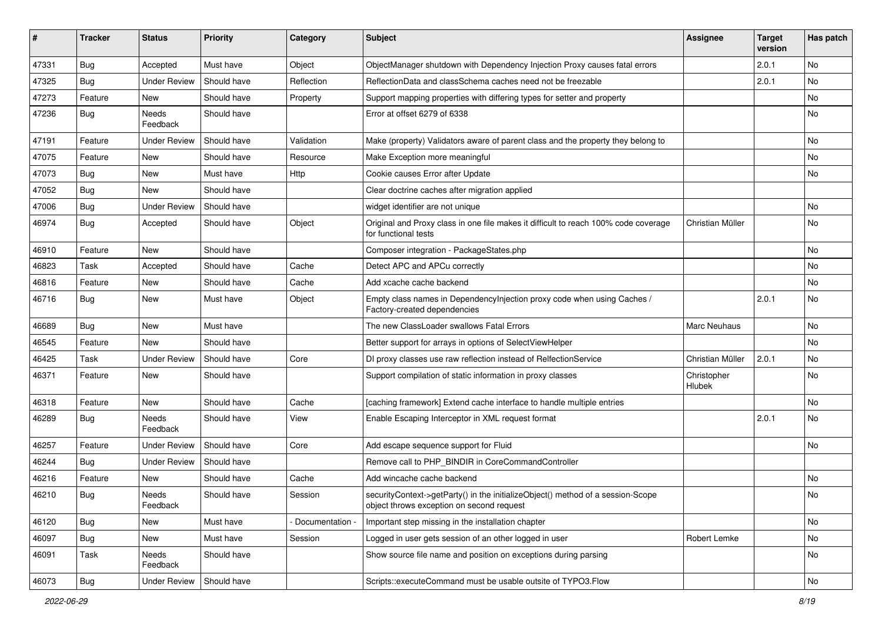| #     | <b>Tracker</b> | <b>Status</b>       | <b>Priority</b> | Category        | <b>Subject</b>                                                                                                               | <b>Assignee</b>       | <b>Target</b><br>version | Has patch |
|-------|----------------|---------------------|-----------------|-----------------|------------------------------------------------------------------------------------------------------------------------------|-----------------------|--------------------------|-----------|
| 47331 | Bug            | Accepted            | Must have       | Object          | ObjectManager shutdown with Dependency Injection Proxy causes fatal errors                                                   |                       | 2.0.1                    | No        |
| 47325 | <b>Bug</b>     | Under Review        | Should have     | Reflection      | ReflectionData and classSchema caches need not be freezable                                                                  |                       | 2.0.1                    | No        |
| 47273 | Feature        | New                 | Should have     | Property        | Support mapping properties with differing types for setter and property                                                      |                       |                          | No        |
| 47236 | <b>Bug</b>     | Needs<br>Feedback   | Should have     |                 | Error at offset 6279 of 6338                                                                                                 |                       |                          | No        |
| 47191 | Feature        | <b>Under Review</b> | Should have     | Validation      | Make (property) Validators aware of parent class and the property they belong to                                             |                       |                          | No        |
| 47075 | Feature        | New                 | Should have     | Resource        | Make Exception more meaningful                                                                                               |                       |                          | No        |
| 47073 | Bug            | New                 | Must have       | <b>Http</b>     | Cookie causes Error after Update                                                                                             |                       |                          | No.       |
| 47052 | Bug            | New                 | Should have     |                 | Clear doctrine caches after migration applied                                                                                |                       |                          |           |
| 47006 | <b>Bug</b>     | Under Review        | Should have     |                 | widget identifier are not unique                                                                                             |                       |                          | No        |
| 46974 | Bug            | Accepted            | Should have     | Object          | Original and Proxy class in one file makes it difficult to reach 100% code coverage<br>for functional tests                  | Christian Müller      |                          | No        |
| 46910 | Feature        | New                 | Should have     |                 | Composer integration - PackageStates.php                                                                                     |                       |                          | No        |
| 46823 | Task           | Accepted            | Should have     | Cache           | Detect APC and APCu correctly                                                                                                |                       |                          | No        |
| 46816 | Feature        | New                 | Should have     | Cache           | Add xcache cache backend                                                                                                     |                       |                          | No        |
| 46716 | <b>Bug</b>     | New                 | Must have       | Object          | Empty class names in Dependencylnjection proxy code when using Caches /<br>Factory-created dependencies                      |                       | 2.0.1                    | No        |
| 46689 | Bug            | New                 | Must have       |                 | The new ClassLoader swallows Fatal Errors                                                                                    | Marc Neuhaus          |                          | No        |
| 46545 | Feature        | New                 | Should have     |                 | Better support for arrays in options of SelectViewHelper                                                                     |                       |                          | No        |
| 46425 | Task           | <b>Under Review</b> | Should have     | Core            | DI proxy classes use raw reflection instead of RelfectionService                                                             | Christian Müller      | 2.0.1                    | No        |
| 46371 | Feature        | New                 | Should have     |                 | Support compilation of static information in proxy classes                                                                   | Christopher<br>Hlubek |                          | No        |
| 46318 | Feature        | New                 | Should have     | Cache           | [caching framework] Extend cache interface to handle multiple entries                                                        |                       |                          | No        |
| 46289 | Bug            | Needs<br>Feedback   | Should have     | View            | Enable Escaping Interceptor in XML request format                                                                            |                       | 2.0.1                    | No        |
| 46257 | Feature        | Under Review        | Should have     | Core            | Add escape sequence support for Fluid                                                                                        |                       |                          | No        |
| 46244 | Bug            | <b>Under Review</b> | Should have     |                 | Remove call to PHP_BINDIR in CoreCommandController                                                                           |                       |                          |           |
| 46216 | Feature        | New                 | Should have     | Cache           | Add wincache cache backend                                                                                                   |                       |                          | No        |
| 46210 | <b>Bug</b>     | Needs<br>Feedback   | Should have     | Session         | securityContext->getParty() in the initializeObject() method of a session-Scope<br>object throws exception on second request |                       |                          | No        |
| 46120 | Bug            | New                 | Must have       | Documentation - | Important step missing in the installation chapter                                                                           |                       |                          | No        |
| 46097 | Bug            | New                 | Must have       | Session         | Logged in user gets session of an other logged in user                                                                       | Robert Lemke          |                          | No        |
| 46091 | Task           | Needs<br>Feedback   | Should have     |                 | Show source file name and position on exceptions during parsing                                                              |                       |                          | No        |
| 46073 | Bug            | <b>Under Review</b> | Should have     |                 | Scripts::executeCommand must be usable outsite of TYPO3.Flow                                                                 |                       |                          | No        |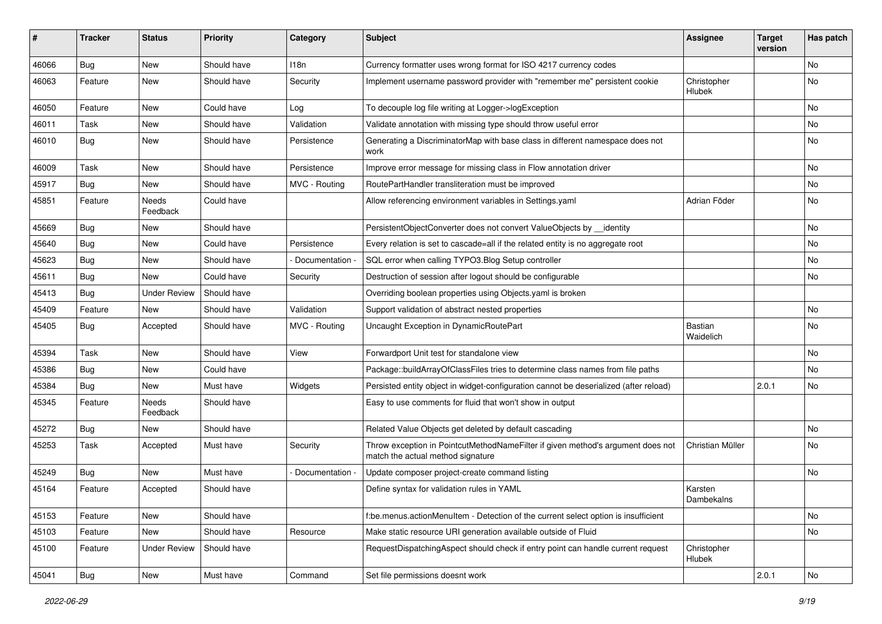| #     | <b>Tracker</b> | <b>Status</b>       | <b>Priority</b> | Category      | <b>Subject</b>                                                                                                       | <b>Assignee</b>             | <b>Target</b><br>version | Has patch |
|-------|----------------|---------------------|-----------------|---------------|----------------------------------------------------------------------------------------------------------------------|-----------------------------|--------------------------|-----------|
| 46066 | Bug            | New                 | Should have     | 118n          | Currency formatter uses wrong format for ISO 4217 currency codes                                                     |                             |                          | No        |
| 46063 | Feature        | New                 | Should have     | Security      | Implement username password provider with "remember me" persistent cookie                                            | Christopher<br>Hlubek       |                          | No        |
| 46050 | Feature        | New                 | Could have      | Log           | To decouple log file writing at Logger->logException                                                                 |                             |                          | No        |
| 46011 | Task           | New                 | Should have     | Validation    | Validate annotation with missing type should throw useful error                                                      |                             |                          | No        |
| 46010 | Bug            | New                 | Should have     | Persistence   | Generating a DiscriminatorMap with base class in different namespace does not<br>work                                |                             |                          | No        |
| 46009 | Task           | New                 | Should have     | Persistence   | Improve error message for missing class in Flow annotation driver                                                    |                             |                          | No        |
| 45917 | <b>Bug</b>     | New                 | Should have     | MVC - Routing | RoutePartHandler transliteration must be improved                                                                    |                             |                          | No.       |
| 45851 | Feature        | Needs<br>Feedback   | Could have      |               | Allow referencing environment variables in Settings.yaml                                                             | Adrian Föder                |                          | No        |
| 45669 | Bug            | New                 | Should have     |               | PersistentObjectConverter does not convert ValueObjects by __identity                                                |                             |                          | No        |
| 45640 | <b>Bug</b>     | New                 | Could have      | Persistence   | Every relation is set to cascade=all if the related entity is no aggregate root                                      |                             |                          | No        |
| 45623 | Bug            | New                 | Should have     | Documentation | SQL error when calling TYPO3.Blog Setup controller                                                                   |                             |                          | No        |
| 45611 | Bug            | New                 | Could have      | Security      | Destruction of session after logout should be configurable                                                           |                             |                          | No        |
| 45413 | Bug            | <b>Under Review</b> | Should have     |               | Overriding boolean properties using Objects yaml is broken                                                           |                             |                          |           |
| 45409 | Feature        | New                 | Should have     | Validation    | Support validation of abstract nested properties                                                                     |                             |                          | No        |
| 45405 | Bug            | Accepted            | Should have     | MVC - Routing | Uncaught Exception in DynamicRoutePart                                                                               | <b>Bastian</b><br>Waidelich |                          | No        |
| 45394 | Task           | New                 | Should have     | View          | Forwardport Unit test for standalone view                                                                            |                             |                          | No        |
| 45386 | <b>Bug</b>     | New                 | Could have      |               | Package::buildArrayOfClassFiles tries to determine class names from file paths                                       |                             |                          | No        |
| 45384 | Bug            | New                 | Must have       | Widgets       | Persisted entity object in widget-configuration cannot be deserialized (after reload)                                |                             | 2.0.1                    | No        |
| 45345 | Feature        | Needs<br>Feedback   | Should have     |               | Easy to use comments for fluid that won't show in output                                                             |                             |                          |           |
| 45272 | Bug            | New                 | Should have     |               | Related Value Objects get deleted by default cascading                                                               |                             |                          | No        |
| 45253 | Task           | Accepted            | Must have       | Security      | Throw exception in PointcutMethodNameFilter if given method's argument does not<br>match the actual method signature | Christian Müller            |                          | No        |
| 45249 | Bug            | New                 | Must have       | Documentation | Update composer project-create command listing                                                                       |                             |                          | No        |
| 45164 | Feature        | Accepted            | Should have     |               | Define syntax for validation rules in YAML                                                                           | Karsten<br>Dambekalns       |                          |           |
| 45153 | Feature        | New                 | Should have     |               | f:be.menus.actionMenuItem - Detection of the current select option is insufficient                                   |                             |                          | No        |
| 45103 | Feature        | New                 | Should have     | Resource      | Make static resource URI generation available outside of Fluid                                                       |                             |                          | No        |
| 45100 | Feature        | <b>Under Review</b> | Should have     |               | RequestDispatchingAspect should check if entry point can handle current request                                      | Christopher<br>Hlubek       |                          |           |
| 45041 | <b>Bug</b>     | New                 | Must have       | Command       | Set file permissions doesnt work                                                                                     |                             | 2.0.1                    | No        |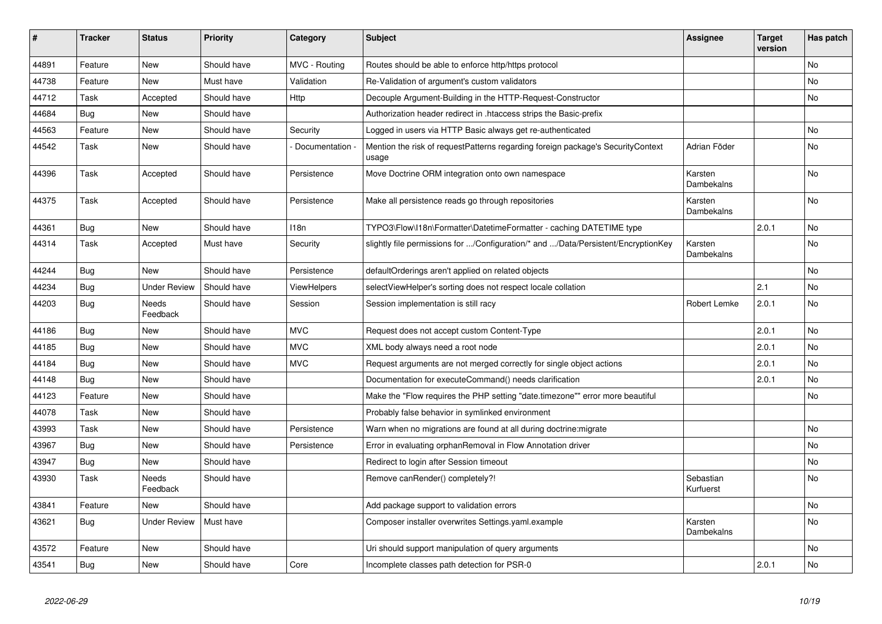| #     | <b>Tracker</b> | <b>Status</b>            | <b>Priority</b> | Category        | <b>Subject</b>                                                                           | <b>Assignee</b>        | <b>Target</b><br>version | Has patch      |
|-------|----------------|--------------------------|-----------------|-----------------|------------------------------------------------------------------------------------------|------------------------|--------------------------|----------------|
| 44891 | Feature        | <b>New</b>               | Should have     | MVC - Routing   | Routes should be able to enforce http/https protocol                                     |                        |                          | No             |
| 44738 | Feature        | New                      | Must have       | Validation      | Re-Validation of argument's custom validators                                            |                        |                          | No             |
| 44712 | Task           | Accepted                 | Should have     | Http            | Decouple Argument-Building in the HTTP-Request-Constructor                               |                        |                          | No             |
| 44684 | <b>Bug</b>     | New                      | Should have     |                 | Authorization header redirect in .htaccess strips the Basic-prefix                       |                        |                          |                |
| 44563 | Feature        | New                      | Should have     | Security        | Logged in users via HTTP Basic always get re-authenticated                               |                        |                          | No             |
| 44542 | Task           | New                      | Should have     | Documentation - | Mention the risk of requestPatterns regarding foreign package's SecurityContext<br>usage | Adrian Föder           |                          | No             |
| 44396 | Task           | Accepted                 | Should have     | Persistence     | Move Doctrine ORM integration onto own namespace                                         | Karsten<br>Dambekalns  |                          | No             |
| 44375 | Task           | Accepted                 | Should have     | Persistence     | Make all persistence reads go through repositories                                       | Karsten<br>Dambekalns  |                          | No             |
| 44361 | Bug            | <b>New</b>               | Should have     | 118n            | TYPO3\Flow\I18n\Formatter\DatetimeFormatter - caching DATETIME type                      |                        | 2.0.1                    | No             |
| 44314 | Task           | Accepted                 | Must have       | Security        | slightly file permissions for /Configuration/* and /Data/Persistent/EncryptionKey        | Karsten<br>Dambekalns  |                          | No             |
| 44244 | <b>Bug</b>     | New                      | Should have     | Persistence     | defaultOrderings aren't applied on related objects                                       |                        |                          | No             |
| 44234 | Bug            | <b>Under Review</b>      | Should have     | ViewHelpers     | selectViewHelper's sorting does not respect locale collation                             |                        | 2.1                      | No             |
| 44203 | Bug            | <b>Needs</b><br>Feedback | Should have     | Session         | Session implementation is still racy                                                     | Robert Lemke           | 2.0.1                    | <b>No</b>      |
| 44186 | <b>Bug</b>     | New                      | Should have     | <b>MVC</b>      | Request does not accept custom Content-Type                                              |                        | 2.0.1                    | No.            |
| 44185 | Bug            | New                      | Should have     | <b>MVC</b>      | XML body always need a root node                                                         |                        | 2.0.1                    | No.            |
| 44184 | Bug            | New                      | Should have     | <b>MVC</b>      | Request arguments are not merged correctly for single object actions                     |                        | 2.0.1                    | No             |
| 44148 | <b>Bug</b>     | New                      | Should have     |                 | Documentation for executeCommand() needs clarification                                   |                        | 2.0.1                    | No             |
| 44123 | Feature        | New                      | Should have     |                 | Make the "Flow requires the PHP setting "date.timezone"" error more beautiful            |                        |                          | No             |
| 44078 | Task           | New                      | Should have     |                 | Probably false behavior in symlinked environment                                         |                        |                          |                |
| 43993 | Task           | New                      | Should have     | Persistence     | Warn when no migrations are found at all during doctrine: migrate                        |                        |                          | No             |
| 43967 | <b>Bug</b>     | New                      | Should have     | Persistence     | Error in evaluating orphanRemoval in Flow Annotation driver                              |                        |                          | No.            |
| 43947 | Bug            | New                      | Should have     |                 | Redirect to login after Session timeout                                                  |                        |                          | No             |
| 43930 | Task           | <b>Needs</b><br>Feedback | Should have     |                 | Remove canRender() completely?!                                                          | Sebastian<br>Kurfuerst |                          | N <sub>o</sub> |
| 43841 | Feature        | New                      | Should have     |                 | Add package support to validation errors                                                 |                        |                          | No             |
| 43621 | <b>Bug</b>     | <b>Under Review</b>      | Must have       |                 | Composer installer overwrites Settings.yaml.example                                      | Karsten<br>Dambekalns  |                          | No             |
| 43572 | Feature        | New                      | Should have     |                 | Uri should support manipulation of query arguments                                       |                        |                          | No             |
| 43541 | <b>Bug</b>     | <b>New</b>               | Should have     | Core            | Incomplete classes path detection for PSR-0                                              |                        | 2.0.1                    | No             |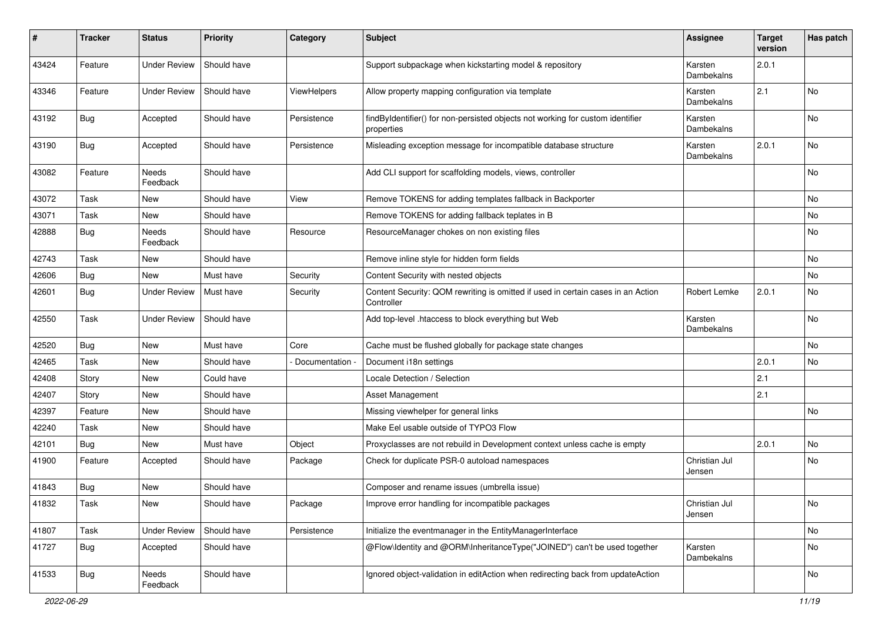| #     | <b>Tracker</b> | <b>Status</b>       | <b>Priority</b> | Category        | <b>Subject</b>                                                                                 | Assignee                | <b>Target</b><br>version | Has patch |
|-------|----------------|---------------------|-----------------|-----------------|------------------------------------------------------------------------------------------------|-------------------------|--------------------------|-----------|
| 43424 | Feature        | <b>Under Review</b> | Should have     |                 | Support subpackage when kickstarting model & repository                                        | Karsten<br>Dambekalns   | 2.0.1                    |           |
| 43346 | Feature        | <b>Under Review</b> | Should have     | ViewHelpers     | Allow property mapping configuration via template                                              | Karsten<br>Dambekalns   | 2.1                      | No        |
| 43192 | Bug            | Accepted            | Should have     | Persistence     | findByIdentifier() for non-persisted objects not working for custom identifier<br>properties   | Karsten<br>Dambekalns   |                          | No        |
| 43190 | Bug            | Accepted            | Should have     | Persistence     | Misleading exception message for incompatible database structure                               | Karsten<br>Dambekalns   | 2.0.1                    | <b>No</b> |
| 43082 | Feature        | Needs<br>Feedback   | Should have     |                 | Add CLI support for scaffolding models, views, controller                                      |                         |                          | <b>No</b> |
| 43072 | Task           | New                 | Should have     | View            | Remove TOKENS for adding templates fallback in Backporter                                      |                         |                          | <b>No</b> |
| 43071 | Task           | New                 | Should have     |                 | Remove TOKENS for adding fallback teplates in B                                                |                         |                          | No        |
| 42888 | <b>Bug</b>     | Needs<br>Feedback   | Should have     | Resource        | ResourceManager chokes on non existing files                                                   |                         |                          | No        |
| 42743 | Task           | <b>New</b>          | Should have     |                 | Remove inline style for hidden form fields                                                     |                         |                          | No        |
| 42606 | <b>Bug</b>     | New                 | Must have       | Security        | Content Security with nested objects                                                           |                         |                          | No        |
| 42601 | Bug            | <b>Under Review</b> | Must have       | Security        | Content Security: QOM rewriting is omitted if used in certain cases in an Action<br>Controller | Robert Lemke            | 2.0.1                    | No        |
| 42550 | Task           | <b>Under Review</b> | Should have     |                 | Add top-level .htaccess to block everything but Web                                            | Karsten<br>Dambekalns   |                          | No        |
| 42520 | Bug            | <b>New</b>          | Must have       | Core            | Cache must be flushed globally for package state changes                                       |                         |                          | No        |
| 42465 | Task           | New                 | Should have     | Documentation - | Document i18n settings                                                                         |                         | 2.0.1                    | No        |
| 42408 | Story          | <b>New</b>          | Could have      |                 | Locale Detection / Selection                                                                   |                         | 2.1                      |           |
| 42407 | Story          | New                 | Should have     |                 | Asset Management                                                                               |                         | 2.1                      |           |
| 42397 | Feature        | New                 | Should have     |                 | Missing viewhelper for general links                                                           |                         |                          | <b>No</b> |
| 42240 | Task           | New                 | Should have     |                 | Make Eel usable outside of TYPO3 Flow                                                          |                         |                          |           |
| 42101 | <b>Bug</b>     | New                 | Must have       | Object          | Proxyclasses are not rebuild in Development context unless cache is empty                      |                         | 2.0.1                    | No        |
| 41900 | Feature        | Accepted            | Should have     | Package         | Check for duplicate PSR-0 autoload namespaces                                                  | Christian Jul<br>Jensen |                          | No        |
| 41843 | <b>Bug</b>     | New                 | Should have     |                 | Composer and rename issues (umbrella issue)                                                    |                         |                          |           |
| 41832 | Task           | New                 | Should have     | Package         | Improve error handling for incompatible packages                                               | Christian Jul<br>Jensen |                          | No        |
| 41807 | Task           | <b>Under Review</b> | Should have     | Persistence     | Initialize the eventmanager in the EntityManagerInterface                                      |                         |                          | No        |
| 41727 | <b>Bug</b>     | Accepted            | Should have     |                 | @Flow\Identity and @ORM\InheritanceType("JOINED") can't be used together                       | Karsten<br>Dambekalns   |                          | No        |
| 41533 | <b>Bug</b>     | Needs<br>Feedback   | Should have     |                 | Ignored object-validation in editAction when redirecting back from updateAction                |                         |                          | No        |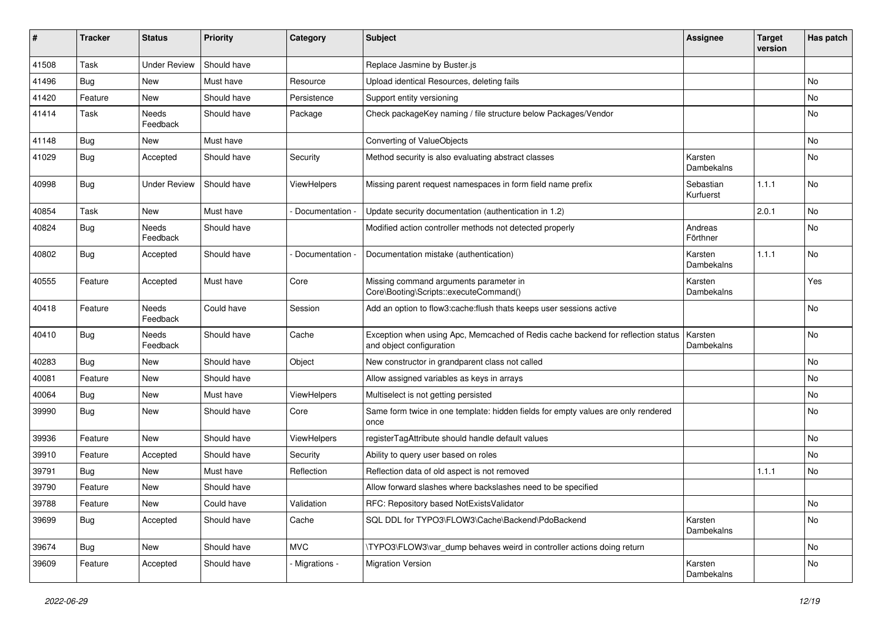| #     | <b>Tracker</b> | <b>Status</b>       | <b>Priority</b> | Category        | <b>Subject</b>                                                                                               | <b>Assignee</b>        | <b>Target</b><br>version | Has patch |
|-------|----------------|---------------------|-----------------|-----------------|--------------------------------------------------------------------------------------------------------------|------------------------|--------------------------|-----------|
| 41508 | Task           | <b>Under Review</b> | Should have     |                 | Replace Jasmine by Buster.js                                                                                 |                        |                          |           |
| 41496 | <b>Bug</b>     | New                 | Must have       | Resource        | Upload identical Resources, deleting fails                                                                   |                        |                          | No        |
| 41420 | Feature        | New                 | Should have     | Persistence     | Support entity versioning                                                                                    |                        |                          | No        |
| 41414 | Task           | Needs<br>Feedback   | Should have     | Package         | Check packageKey naming / file structure below Packages/Vendor                                               |                        |                          | No        |
| 41148 | Bug            | New                 | Must have       |                 | Converting of ValueObjects                                                                                   |                        |                          | No        |
| 41029 | Bug            | Accepted            | Should have     | Security        | Method security is also evaluating abstract classes                                                          | Karsten<br>Dambekalns  |                          | No        |
| 40998 | Bug            | <b>Under Review</b> | Should have     | ViewHelpers     | Missing parent request namespaces in form field name prefix                                                  | Sebastian<br>Kurfuerst | 1.1.1                    | No        |
| 40854 | Task           | New                 | Must have       | Documentation - | Update security documentation (authentication in 1.2)                                                        |                        | 2.0.1                    | No        |
| 40824 | Bug            | Needs<br>Feedback   | Should have     |                 | Modified action controller methods not detected properly                                                     | Andreas<br>Förthner    |                          | No        |
| 40802 | Bug            | Accepted            | Should have     | Documentation - | Documentation mistake (authentication)                                                                       | Karsten<br>Dambekalns  | 1.1.1                    | No        |
| 40555 | Feature        | Accepted            | Must have       | Core            | Missing command arguments parameter in<br>Core\Booting\Scripts::executeCommand()                             | Karsten<br>Dambekalns  |                          | Yes       |
| 40418 | Feature        | Needs<br>Feedback   | Could have      | Session         | Add an option to flow3:cache:flush thats keeps user sessions active                                          |                        |                          | No        |
| 40410 | Bug            | Needs<br>Feedback   | Should have     | Cache           | Exception when using Apc, Memcached of Redis cache backend for reflection status<br>and object configuration | Karsten<br>Dambekalns  |                          | No        |
| 40283 | Bug            | New                 | Should have     | Object          | New constructor in grandparent class not called                                                              |                        |                          | No        |
| 40081 | Feature        | New                 | Should have     |                 | Allow assigned variables as keys in arrays                                                                   |                        |                          | No        |
| 40064 | <b>Bug</b>     | New                 | Must have       | ViewHelpers     | Multiselect is not getting persisted                                                                         |                        |                          | No        |
| 39990 | Bug            | New                 | Should have     | Core            | Same form twice in one template: hidden fields for empty values are only rendered<br>once                    |                        |                          | No        |
| 39936 | Feature        | New                 | Should have     | ViewHelpers     | registerTagAttribute should handle default values                                                            |                        |                          | No        |
| 39910 | Feature        | Accepted            | Should have     | Security        | Ability to query user based on roles                                                                         |                        |                          | No        |
| 39791 | <b>Bug</b>     | New                 | Must have       | Reflection      | Reflection data of old aspect is not removed                                                                 |                        | 1.1.1                    | No        |
| 39790 | Feature        | New                 | Should have     |                 | Allow forward slashes where backslashes need to be specified                                                 |                        |                          |           |
| 39788 | Feature        | New                 | Could have      | Validation      | RFC: Repository based NotExistsValidator                                                                     |                        |                          | No        |
| 39699 | <b>Bug</b>     | Accepted            | Should have     | Cache           | SQL DDL for TYPO3\FLOW3\Cache\Backend\PdoBackend                                                             | Karsten<br>Dambekalns  |                          | No        |
| 39674 | Bug            | New                 | Should have     | <b>MVC</b>      | \TYPO3\FLOW3\var_dump behaves weird in controller actions doing return                                       |                        |                          | No        |
| 39609 | Feature        | Accepted            | Should have     | - Migrations -  | <b>Migration Version</b>                                                                                     | Karsten<br>Dambekalns  |                          | No        |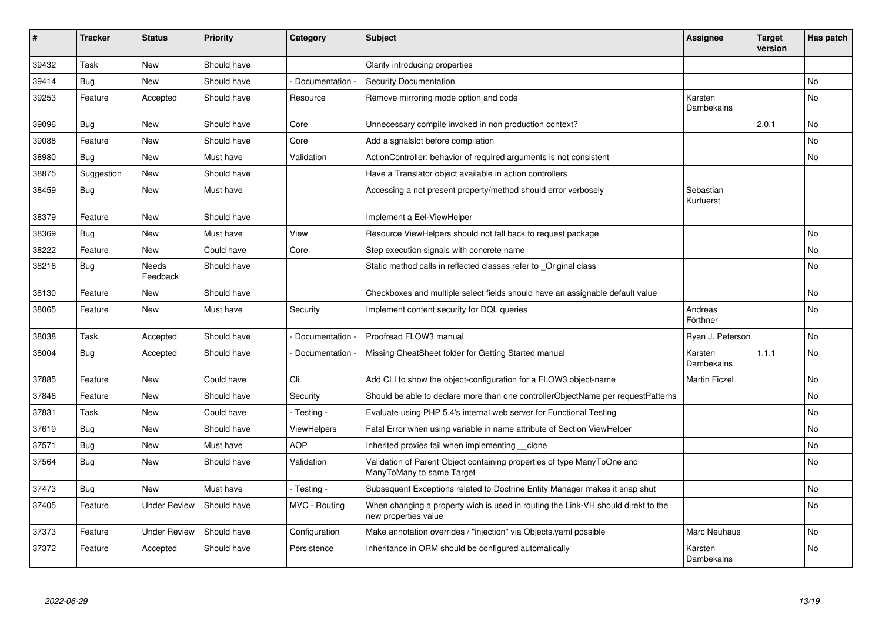| #     | <b>Tracker</b> | <b>Status</b>       | <b>Priority</b> | Category           | <b>Subject</b>                                                                                            | Assignee               | <b>Target</b><br>version | Has patch |
|-------|----------------|---------------------|-----------------|--------------------|-----------------------------------------------------------------------------------------------------------|------------------------|--------------------------|-----------|
| 39432 | Task           | <b>New</b>          | Should have     |                    | Clarify introducing properties                                                                            |                        |                          |           |
| 39414 | Bug            | New                 | Should have     | Documentation      | <b>Security Documentation</b>                                                                             |                        |                          | No        |
| 39253 | Feature        | Accepted            | Should have     | Resource           | Remove mirroring mode option and code                                                                     | Karsten<br>Dambekalns  |                          | No        |
| 39096 | Bug            | New                 | Should have     | Core               | Unnecessary compile invoked in non production context?                                                    |                        | 2.0.1                    | No        |
| 39088 | Feature        | New                 | Should have     | Core               | Add a sgnalslot before compilation                                                                        |                        |                          | No.       |
| 38980 | Bug            | New                 | Must have       | Validation         | ActionController: behavior of required arguments is not consistent                                        |                        |                          | No        |
| 38875 | Suggestion     | New                 | Should have     |                    | Have a Translator object available in action controllers                                                  |                        |                          |           |
| 38459 | Bug            | <b>New</b>          | Must have       |                    | Accessing a not present property/method should error verbosely                                            | Sebastian<br>Kurfuerst |                          |           |
| 38379 | Feature        | <b>New</b>          | Should have     |                    | Implement a Eel-ViewHelper                                                                                |                        |                          |           |
| 38369 | Bug            | <b>New</b>          | Must have       | View               | Resource ViewHelpers should not fall back to request package                                              |                        |                          | No        |
| 38222 | Feature        | <b>New</b>          | Could have      | Core               | Step execution signals with concrete name                                                                 |                        |                          | No        |
| 38216 | Bug            | Needs<br>Feedback   | Should have     |                    | Static method calls in reflected classes refer to Original class                                          |                        |                          | No        |
| 38130 | Feature        | New                 | Should have     |                    | Checkboxes and multiple select fields should have an assignable default value                             |                        |                          | No        |
| 38065 | Feature        | <b>New</b>          | Must have       | Security           | Implement content security for DQL queries                                                                | Andreas<br>Förthner    |                          | No        |
| 38038 | Task           | Accepted            | Should have     | Documentation      | Proofread FLOW3 manual                                                                                    | Ryan J. Peterson       |                          | No        |
| 38004 | Bug            | Accepted            | Should have     | Documentation -    | Missing CheatSheet folder for Getting Started manual                                                      | Karsten<br>Dambekalns  | 1.1.1                    | No        |
| 37885 | Feature        | New                 | Could have      | Cli                | Add CLI to show the object-configuration for a FLOW3 object-name                                          | <b>Martin Ficzel</b>   |                          | No        |
| 37846 | Feature        | <b>New</b>          | Should have     | Security           | Should be able to declare more than one controllerObjectName per requestPatterns                          |                        |                          | No        |
| 37831 | Task           | New                 | Could have      | - Testing -        | Evaluate using PHP 5.4's internal web server for Functional Testing                                       |                        |                          | No        |
| 37619 | Bug            | New                 | Should have     | <b>ViewHelpers</b> | Fatal Error when using variable in name attribute of Section ViewHelper                                   |                        |                          | No        |
| 37571 | <b>Bug</b>     | <b>New</b>          | Must have       | <b>AOP</b>         | Inherited proxies fail when implementing clone                                                            |                        |                          | No.       |
| 37564 | Bug            | New                 | Should have     | Validation         | Validation of Parent Object containing properties of type ManyToOne and<br>ManyToMany to same Target      |                        |                          | No        |
| 37473 | Bug            | New                 | Must have       | Testing -          | Subsequent Exceptions related to Doctrine Entity Manager makes it snap shut                               |                        |                          | No        |
| 37405 | Feature        | Under Review        | Should have     | MVC - Routing      | When changing a property wich is used in routing the Link-VH should direkt to the<br>new properties value |                        |                          | No        |
| 37373 | Feature        | <b>Under Review</b> | Should have     | Configuration      | Make annotation overrides / "injection" via Objects.yaml possible                                         | <b>Marc Neuhaus</b>    |                          | No        |
| 37372 | Feature        | Accepted            | Should have     | Persistence        | Inheritance in ORM should be configured automatically                                                     | Karsten<br>Dambekalns  |                          | No        |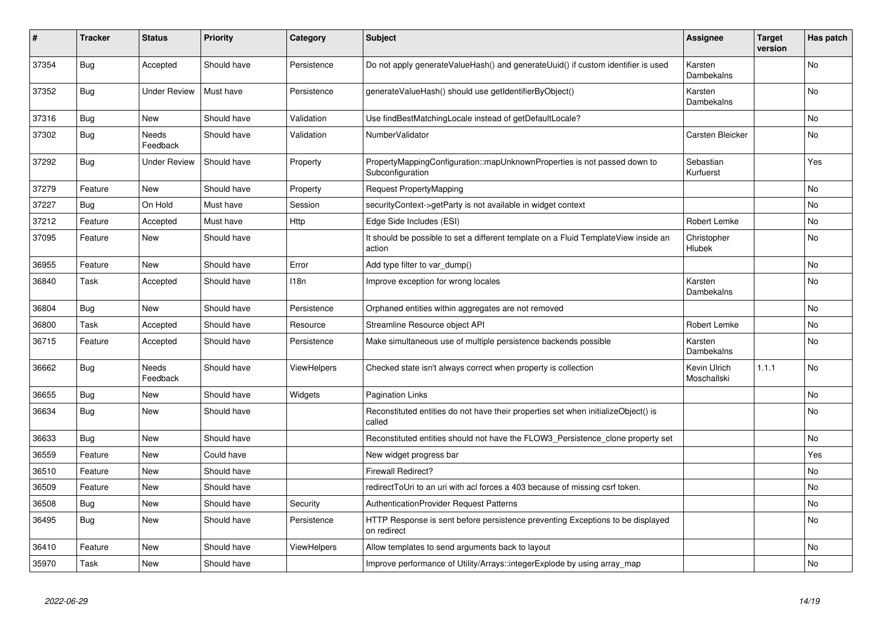| #     | <b>Tracker</b> | <b>Status</b>     | <b>Priority</b> | Category    | <b>Subject</b>                                                                                | Assignee                    | <b>Target</b><br>version | Has patch      |
|-------|----------------|-------------------|-----------------|-------------|-----------------------------------------------------------------------------------------------|-----------------------------|--------------------------|----------------|
| 37354 | Bug            | Accepted          | Should have     | Persistence | Do not apply generateValueHash() and generateUuid() if custom identifier is used              | Karsten<br>Dambekalns       |                          | <b>No</b>      |
| 37352 | Bug            | Under Review      | Must have       | Persistence | generateValueHash() should use getIdentifierByObject()                                        | Karsten<br>Dambekalns       |                          | N <sub>o</sub> |
| 37316 | Bug            | <b>New</b>        | Should have     | Validation  | Use findBestMatchingLocale instead of getDefaultLocale?                                       |                             |                          | No.            |
| 37302 | <b>Bug</b>     | Needs<br>Feedback | Should have     | Validation  | NumberValidator                                                                               | Carsten Bleicker            |                          | <b>No</b>      |
| 37292 | Bug            | Under Review      | Should have     | Property    | PropertyMappingConfiguration::mapUnknownProperties is not passed down to<br>Subconfiguration  | Sebastian<br>Kurfuerst      |                          | Yes            |
| 37279 | Feature        | New               | Should have     | Property    | Request PropertyMapping                                                                       |                             |                          | No.            |
| 37227 | <b>Bug</b>     | On Hold           | Must have       | Session     | securityContext->getParty is not available in widget context                                  |                             |                          | No             |
| 37212 | Feature        | Accepted          | Must have       | <b>Http</b> | Edge Side Includes (ESI)                                                                      | <b>Robert Lemke</b>         |                          | No             |
| 37095 | Feature        | New               | Should have     |             | It should be possible to set a different template on a Fluid TemplateView inside an<br>action | Christopher<br>Hlubek       |                          | N <sub>o</sub> |
| 36955 | Feature        | New               | Should have     | Error       | Add type filter to var dump()                                                                 |                             |                          | No             |
| 36840 | Task           | Accepted          | Should have     | 118n        | Improve exception for wrong locales                                                           | Karsten<br>Dambekalns       |                          | No.            |
| 36804 | <b>Bug</b>     | <b>New</b>        | Should have     | Persistence | Orphaned entities within aggregates are not removed                                           |                             |                          | N <sub>o</sub> |
| 36800 | Task           | Accepted          | Should have     | Resource    | Streamline Resource object API                                                                | Robert Lemke                |                          | No             |
| 36715 | Feature        | Accepted          | Should have     | Persistence | Make simultaneous use of multiple persistence backends possible                               | Karsten<br>Dambekalns       |                          | No             |
| 36662 | <b>Bug</b>     | Needs<br>Feedback | Should have     | ViewHelpers | Checked state isn't always correct when property is collection                                | Kevin Ulrich<br>Moschallski | 1.1.1                    | No             |
| 36655 | <b>Bug</b>     | New               | Should have     | Widgets     | <b>Pagination Links</b>                                                                       |                             |                          | No             |
| 36634 | <b>Bug</b>     | New               | Should have     |             | Reconstituted entities do not have their properties set when initializeObject() is<br>called  |                             |                          | No.            |
| 36633 | <b>Bug</b>     | New               | Should have     |             | Reconstituted entities should not have the FLOW3_Persistence_clone property set               |                             |                          | N <sub>o</sub> |
| 36559 | Feature        | New               | Could have      |             | New widget progress bar                                                                       |                             |                          | Yes            |
| 36510 | Feature        | New               | Should have     |             | <b>Firewall Redirect?</b>                                                                     |                             |                          | No             |
| 36509 | Feature        | New               | Should have     |             | redirectToUri to an uri with acl forces a 403 because of missing csrf token.                  |                             |                          | No             |
| 36508 | <b>Bug</b>     | New               | Should have     | Security    | <b>AuthenticationProvider Request Patterns</b>                                                |                             |                          | No             |
| 36495 | Bug            | New               | Should have     | Persistence | HTTP Response is sent before persistence preventing Exceptions to be displayed<br>on redirect |                             |                          | No             |
| 36410 | Feature        | New               | Should have     | ViewHelpers | Allow templates to send arguments back to layout                                              |                             |                          | No             |
| 35970 | Task           | New               | Should have     |             | Improve performance of Utility/Arrays::integerExplode by using array map                      |                             |                          | No             |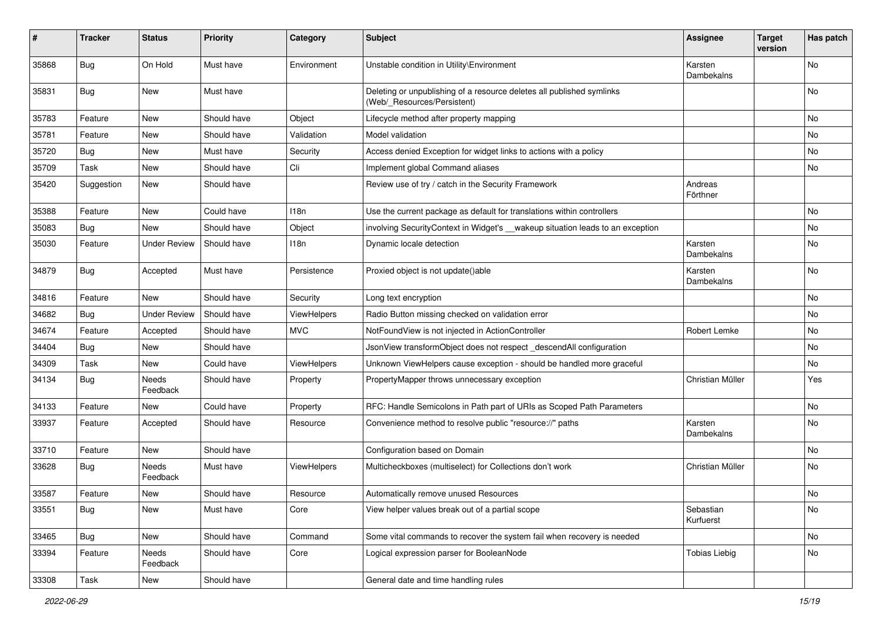| ∦     | <b>Tracker</b> | <b>Status</b>       | <b>Priority</b> | Category    | <b>Subject</b>                                                                                       | <b>Assignee</b>        | <b>Target</b><br>version | Has patch |
|-------|----------------|---------------------|-----------------|-------------|------------------------------------------------------------------------------------------------------|------------------------|--------------------------|-----------|
| 35868 | Bug            | On Hold             | Must have       | Environment | Unstable condition in Utility\Environment                                                            | Karsten<br>Dambekalns  |                          | No        |
| 35831 | Bug            | New                 | Must have       |             | Deleting or unpublishing of a resource deletes all published symlinks<br>(Web/_Resources/Persistent) |                        |                          | No        |
| 35783 | Feature        | New                 | Should have     | Object      | Lifecycle method after property mapping                                                              |                        |                          | No        |
| 35781 | Feature        | <b>New</b>          | Should have     | Validation  | Model validation                                                                                     |                        |                          | No        |
| 35720 | Bug            | <b>New</b>          | Must have       | Security    | Access denied Exception for widget links to actions with a policy                                    |                        |                          | No        |
| 35709 | Task           | New                 | Should have     | Cli         | Implement global Command aliases                                                                     |                        |                          | No        |
| 35420 | Suggestion     | <b>New</b>          | Should have     |             | Review use of try / catch in the Security Framework                                                  | Andreas<br>Förthner    |                          |           |
| 35388 | Feature        | New                 | Could have      | 118n        | Use the current package as default for translations within controllers                               |                        |                          | No        |
| 35083 | Bug            | New                 | Should have     | Object      | involving SecurityContext in Widget's __wakeup situation leads to an exception                       |                        |                          | No        |
| 35030 | Feature        | <b>Under Review</b> | Should have     | 118n        | Dynamic locale detection                                                                             | Karsten<br>Dambekalns  |                          | No        |
| 34879 | Bug            | Accepted            | Must have       | Persistence | Proxied object is not update()able                                                                   | Karsten<br>Dambekalns  |                          | No        |
| 34816 | Feature        | <b>New</b>          | Should have     | Security    | Long text encryption                                                                                 |                        |                          | No        |
| 34682 | Bug            | <b>Under Review</b> | Should have     | ViewHelpers | Radio Button missing checked on validation error                                                     |                        |                          | No        |
| 34674 | Feature        | Accepted            | Should have     | <b>MVC</b>  | NotFoundView is not injected in ActionController                                                     | Robert Lemke           |                          | No        |
| 34404 | Bug            | <b>New</b>          | Should have     |             | JsonView transformObject does not respect_descendAll configuration                                   |                        |                          | No        |
| 34309 | Task           | New                 | Could have      | ViewHelpers | Unknown ViewHelpers cause exception - should be handled more graceful                                |                        |                          | No        |
| 34134 | <b>Bug</b>     | Needs<br>Feedback   | Should have     | Property    | PropertyMapper throws unnecessary exception                                                          | Christian Müller       |                          | Yes       |
| 34133 | Feature        | New                 | Could have      | Property    | RFC: Handle Semicolons in Path part of URIs as Scoped Path Parameters                                |                        |                          | No        |
| 33937 | Feature        | Accepted            | Should have     | Resource    | Convenience method to resolve public "resource://" paths                                             | Karsten<br>Dambekalns  |                          | No        |
| 33710 | Feature        | New                 | Should have     |             | Configuration based on Domain                                                                        |                        |                          | No        |
| 33628 | Bug            | Needs<br>Feedback   | Must have       | ViewHelpers | Multicheckboxes (multiselect) for Collections don't work                                             | Christian Müller       |                          | No        |
| 33587 | Feature        | New                 | Should have     | Resource    | Automatically remove unused Resources                                                                |                        |                          | No        |
| 33551 | <b>Bug</b>     | New                 | Must have       | Core        | View helper values break out of a partial scope                                                      | Sebastian<br>Kurfuerst |                          | No        |
| 33465 | <b>Bug</b>     | New                 | Should have     | Command     | Some vital commands to recover the system fail when recovery is needed                               |                        |                          | No        |
| 33394 | Feature        | Needs<br>Feedback   | Should have     | Core        | Logical expression parser for BooleanNode                                                            | Tobias Liebig          |                          | No        |
| 33308 | Task           | New                 | Should have     |             | General date and time handling rules                                                                 |                        |                          |           |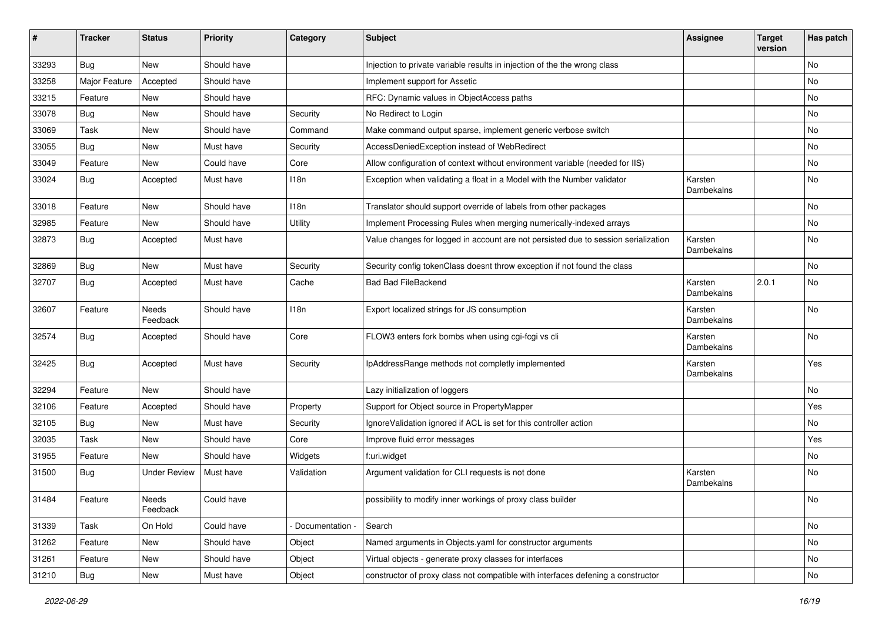| #     | <b>Tracker</b> | <b>Status</b>       | Priority    | Category        | <b>Subject</b>                                                                     | <b>Assignee</b>       | <b>Target</b><br>version | Has patch |
|-------|----------------|---------------------|-------------|-----------------|------------------------------------------------------------------------------------|-----------------------|--------------------------|-----------|
| 33293 | Bug            | New                 | Should have |                 | Injection to private variable results in injection of the the wrong class          |                       |                          | No        |
| 33258 | Major Feature  | Accepted            | Should have |                 | Implement support for Assetic                                                      |                       |                          | No        |
| 33215 | Feature        | New                 | Should have |                 | RFC: Dynamic values in ObjectAccess paths                                          |                       |                          | No        |
| 33078 | Bug            | <b>New</b>          | Should have | Security        | No Redirect to Login                                                               |                       |                          | No        |
| 33069 | Task           | New                 | Should have | Command         | Make command output sparse, implement generic verbose switch                       |                       |                          | No        |
| 33055 | <b>Bug</b>     | New                 | Must have   | Security        | AccessDeniedException instead of WebRedirect                                       |                       |                          | <b>No</b> |
| 33049 | Feature        | New                 | Could have  | Core            | Allow configuration of context without environment variable (needed for IIS)       |                       |                          | No        |
| 33024 | <b>Bug</b>     | Accepted            | Must have   | 118n            | Exception when validating a float in a Model with the Number validator             | Karsten<br>Dambekalns |                          | No        |
| 33018 | Feature        | New                 | Should have | 118n            | Translator should support override of labels from other packages                   |                       |                          | No        |
| 32985 | Feature        | New                 | Should have | Utility         | Implement Processing Rules when merging numerically-indexed arrays                 |                       |                          | No        |
| 32873 | <b>Bug</b>     | Accepted            | Must have   |                 | Value changes for logged in account are not persisted due to session serialization | Karsten<br>Dambekalns |                          | No        |
| 32869 | Bug            | New                 | Must have   | Security        | Security config tokenClass doesnt throw exception if not found the class           |                       |                          | <b>No</b> |
| 32707 | <b>Bug</b>     | Accepted            | Must have   | Cache           | <b>Bad Bad FileBackend</b>                                                         | Karsten<br>Dambekalns | 2.0.1                    | No        |
| 32607 | Feature        | Needs<br>Feedback   | Should have | 118n            | Export localized strings for JS consumption                                        | Karsten<br>Dambekalns |                          | No        |
| 32574 | <b>Bug</b>     | Accepted            | Should have | Core            | FLOW3 enters fork bombs when using cgi-fcgi vs cli                                 | Karsten<br>Dambekalns |                          | No        |
| 32425 | <b>Bug</b>     | Accepted            | Must have   | Security        | IpAddressRange methods not completly implemented                                   | Karsten<br>Dambekalns |                          | Yes       |
| 32294 | Feature        | New                 | Should have |                 | Lazy initialization of loggers                                                     |                       |                          | No        |
| 32106 | Feature        | Accepted            | Should have | Property        | Support for Object source in PropertyMapper                                        |                       |                          | Yes       |
| 32105 | <b>Bug</b>     | New                 | Must have   | Security        | IgnoreValidation ignored if ACL is set for this controller action                  |                       |                          | No        |
| 32035 | Task           | New                 | Should have | Core            | Improve fluid error messages                                                       |                       |                          | Yes       |
| 31955 | Feature        | New                 | Should have | Widgets         | f:uri.widget                                                                       |                       |                          | No        |
| 31500 | Bug            | <b>Under Review</b> | Must have   | Validation      | Argument validation for CLI requests is not done                                   | Karsten<br>Dambekalns |                          | No        |
| 31484 | Feature        | Needs<br>Feedback   | Could have  |                 | possibility to modify inner workings of proxy class builder                        |                       |                          | No        |
| 31339 | Task           | On Hold             | Could have  | Documentation - | Search                                                                             |                       |                          | No        |
| 31262 | Feature        | New                 | Should have | Object          | Named arguments in Objects.yaml for constructor arguments                          |                       |                          | No        |
| 31261 | Feature        | New                 | Should have | Object          | Virtual objects - generate proxy classes for interfaces                            |                       |                          | No        |
| 31210 | <b>Bug</b>     | New                 | Must have   | Object          | constructor of proxy class not compatible with interfaces defening a constructor   |                       |                          | No        |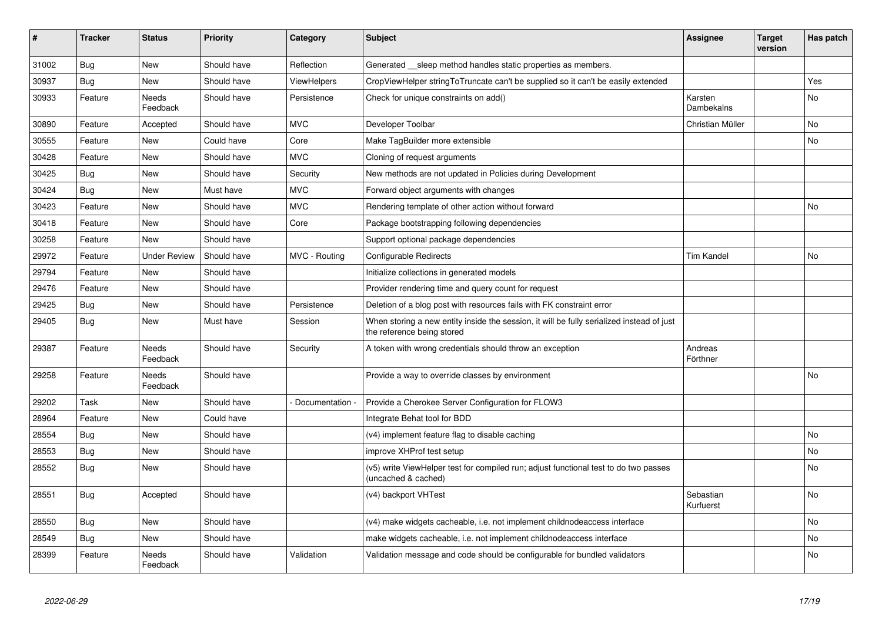| $\vert$ # | <b>Tracker</b> | <b>Status</b>            | <b>Priority</b> | Category      | <b>Subject</b>                                                                                                          | <b>Assignee</b>        | <b>Target</b><br>version | Has patch      |
|-----------|----------------|--------------------------|-----------------|---------------|-------------------------------------------------------------------------------------------------------------------------|------------------------|--------------------------|----------------|
| 31002     | <b>Bug</b>     | <b>New</b>               | Should have     | Reflection    | Generated __sleep method handles static properties as members.                                                          |                        |                          |                |
| 30937     | Bug            | New                      | Should have     | ViewHelpers   | CropViewHelper stringToTruncate can't be supplied so it can't be easily extended                                        |                        |                          | Yes            |
| 30933     | Feature        | Needs<br>Feedback        | Should have     | Persistence   | Check for unique constraints on add()                                                                                   | Karsten<br>Dambekalns  |                          | No             |
| 30890     | Feature        | Accepted                 | Should have     | <b>MVC</b>    | Developer Toolbar                                                                                                       | Christian Müller       |                          | N <sub>o</sub> |
| 30555     | Feature        | <b>New</b>               | Could have      | Core          | Make TagBuilder more extensible                                                                                         |                        |                          | No.            |
| 30428     | Feature        | New                      | Should have     | <b>MVC</b>    | Cloning of request arguments                                                                                            |                        |                          |                |
| 30425     | <b>Bug</b>     | New                      | Should have     | Security      | New methods are not updated in Policies during Development                                                              |                        |                          |                |
| 30424     | Bug            | New                      | Must have       | <b>MVC</b>    | Forward object arguments with changes                                                                                   |                        |                          |                |
| 30423     | Feature        | New                      | Should have     | <b>MVC</b>    | Rendering template of other action without forward                                                                      |                        |                          | No             |
| 30418     | Feature        | New                      | Should have     | Core          | Package bootstrapping following dependencies                                                                            |                        |                          |                |
| 30258     | Feature        | New                      | Should have     |               | Support optional package dependencies                                                                                   |                        |                          |                |
| 29972     | Feature        | Under Review             | Should have     | MVC - Routing | Configurable Redirects                                                                                                  | <b>Tim Kandel</b>      |                          | No             |
| 29794     | Feature        | New                      | Should have     |               | Initialize collections in generated models                                                                              |                        |                          |                |
| 29476     | Feature        | New                      | Should have     |               | Provider rendering time and query count for request                                                                     |                        |                          |                |
| 29425     | Bug            | New                      | Should have     | Persistence   | Deletion of a blog post with resources fails with FK constraint error                                                   |                        |                          |                |
| 29405     | <b>Bug</b>     | New                      | Must have       | Session       | When storing a new entity inside the session, it will be fully serialized instead of just<br>the reference being stored |                        |                          |                |
| 29387     | Feature        | <b>Needs</b><br>Feedback | Should have     | Security      | A token with wrong credentials should throw an exception                                                                | Andreas<br>Förthner    |                          |                |
| 29258     | Feature        | Needs<br>Feedback        | Should have     |               | Provide a way to override classes by environment                                                                        |                        |                          | No             |
| 29202     | Task           | <b>New</b>               | Should have     | Documentation | Provide a Cherokee Server Configuration for FLOW3                                                                       |                        |                          |                |
| 28964     | Feature        | New                      | Could have      |               | Integrate Behat tool for BDD                                                                                            |                        |                          |                |
| 28554     | <b>Bug</b>     | <b>New</b>               | Should have     |               | (v4) implement feature flag to disable caching                                                                          |                        |                          | No.            |
| 28553     | Bug            | <b>New</b>               | Should have     |               | improve XHProf test setup                                                                                               |                        |                          | No.            |
| 28552     | Bug            | New                      | Should have     |               | (v5) write ViewHelper test for compiled run; adjust functional test to do two passes<br>(uncached & cached)             |                        |                          | N <sub>o</sub> |
| 28551     | <b>Bug</b>     | Accepted                 | Should have     |               | (v4) backport VHTest                                                                                                    | Sebastian<br>Kurfuerst |                          | No.            |
| 28550     | <b>Bug</b>     | New                      | Should have     |               | (v4) make widgets cacheable, i.e. not implement childnodeaccess interface                                               |                        |                          | No             |
| 28549     | Bug            | New                      | Should have     |               | make widgets cacheable, i.e. not implement childnodeaccess interface                                                    |                        |                          | No             |
| 28399     | Feature        | Needs<br>Feedback        | Should have     | Validation    | Validation message and code should be configurable for bundled validators                                               |                        |                          | No             |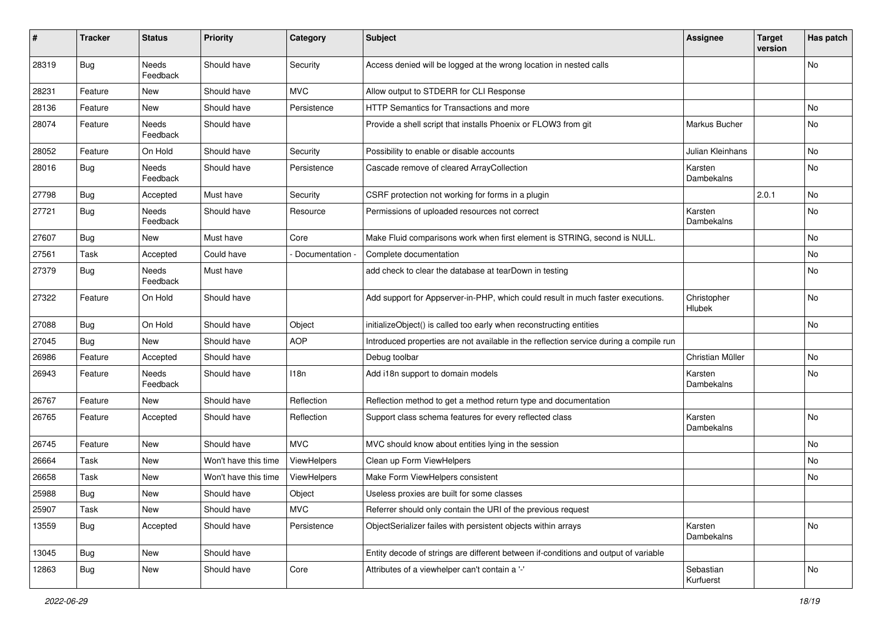| #     | <b>Tracker</b> | <b>Status</b>     | <b>Priority</b>      | Category      | <b>Subject</b>                                                                         | <b>Assignee</b>         | <b>Target</b><br>version | Has patch |
|-------|----------------|-------------------|----------------------|---------------|----------------------------------------------------------------------------------------|-------------------------|--------------------------|-----------|
| 28319 | Bug            | Needs<br>Feedback | Should have          | Security      | Access denied will be logged at the wrong location in nested calls                     |                         |                          | No        |
| 28231 | Feature        | New               | Should have          | <b>MVC</b>    | Allow output to STDERR for CLI Response                                                |                         |                          |           |
| 28136 | Feature        | New               | Should have          | Persistence   | <b>HTTP Semantics for Transactions and more</b>                                        |                         |                          | No.       |
| 28074 | Feature        | Needs<br>Feedback | Should have          |               | Provide a shell script that installs Phoenix or FLOW3 from git                         | Markus Bucher           |                          | No        |
| 28052 | Feature        | On Hold           | Should have          | Security      | Possibility to enable or disable accounts                                              | <b>Julian Kleinhans</b> |                          | No        |
| 28016 | Bug            | Needs<br>Feedback | Should have          | Persistence   | Cascade remove of cleared ArrayCollection                                              | Karsten<br>Dambekalns   |                          | No.       |
| 27798 | Bug            | Accepted          | Must have            | Security      | CSRF protection not working for forms in a plugin                                      |                         | 2.0.1                    | No        |
| 27721 | Bug            | Needs<br>Feedback | Should have          | Resource      | Permissions of uploaded resources not correct                                          | Karsten<br>Dambekalns   |                          | No        |
| 27607 | Bug            | New               | Must have            | Core          | Make Fluid comparisons work when first element is STRING, second is NULL.              |                         |                          | No        |
| 27561 | Task           | Accepted          | Could have           | Documentation | Complete documentation                                                                 |                         |                          | No.       |
| 27379 | Bug            | Needs<br>Feedback | Must have            |               | add check to clear the database at tearDown in testing                                 |                         |                          | No        |
| 27322 | Feature        | On Hold           | Should have          |               | Add support for Appserver-in-PHP, which could result in much faster executions.        | Christopher<br>Hlubek   |                          | <b>No</b> |
| 27088 | <b>Bug</b>     | On Hold           | Should have          | Object        | initializeObject() is called too early when reconstructing entities                    |                         |                          | No        |
| 27045 | <b>Bug</b>     | New               | Should have          | <b>AOP</b>    | Introduced properties are not available in the reflection service during a compile run |                         |                          |           |
| 26986 | Feature        | Accepted          | Should have          |               | Debug toolbar                                                                          | Christian Müller        |                          | No        |
| 26943 | Feature        | Needs<br>Feedback | Should have          | 118n          | Add i18n support to domain models                                                      | Karsten<br>Dambekalns   |                          | No        |
| 26767 | Feature        | New               | Should have          | Reflection    | Reflection method to get a method return type and documentation                        |                         |                          |           |
| 26765 | Feature        | Accepted          | Should have          | Reflection    | Support class schema features for every reflected class                                | Karsten<br>Dambekalns   |                          | No        |
| 26745 | Feature        | New               | Should have          | <b>MVC</b>    | MVC should know about entities lying in the session                                    |                         |                          | No        |
| 26664 | Task           | New               | Won't have this time | ViewHelpers   | Clean up Form ViewHelpers                                                              |                         |                          | No        |
| 26658 | Task           | New               | Won't have this time | ViewHelpers   | Make Form ViewHelpers consistent                                                       |                         |                          | No        |
| 25988 | Bug            | New               | Should have          | Object        | Useless proxies are built for some classes                                             |                         |                          |           |
| 25907 | Task           | New               | Should have          | <b>MVC</b>    | Referrer should only contain the URI of the previous request                           |                         |                          |           |
| 13559 | <b>Bug</b>     | Accepted          | Should have          | Persistence   | ObjectSerializer failes with persistent objects within arrays                          | Karsten<br>Dambekalns   |                          | No        |
| 13045 | Bug            | New               | Should have          |               | Entity decode of strings are different between if-conditions and output of variable    |                         |                          |           |
| 12863 | <b>Bug</b>     | New               | Should have          | Core          | Attributes of a viewhelper can't contain a '-'                                         | Sebastian<br>Kurfuerst  |                          | No        |